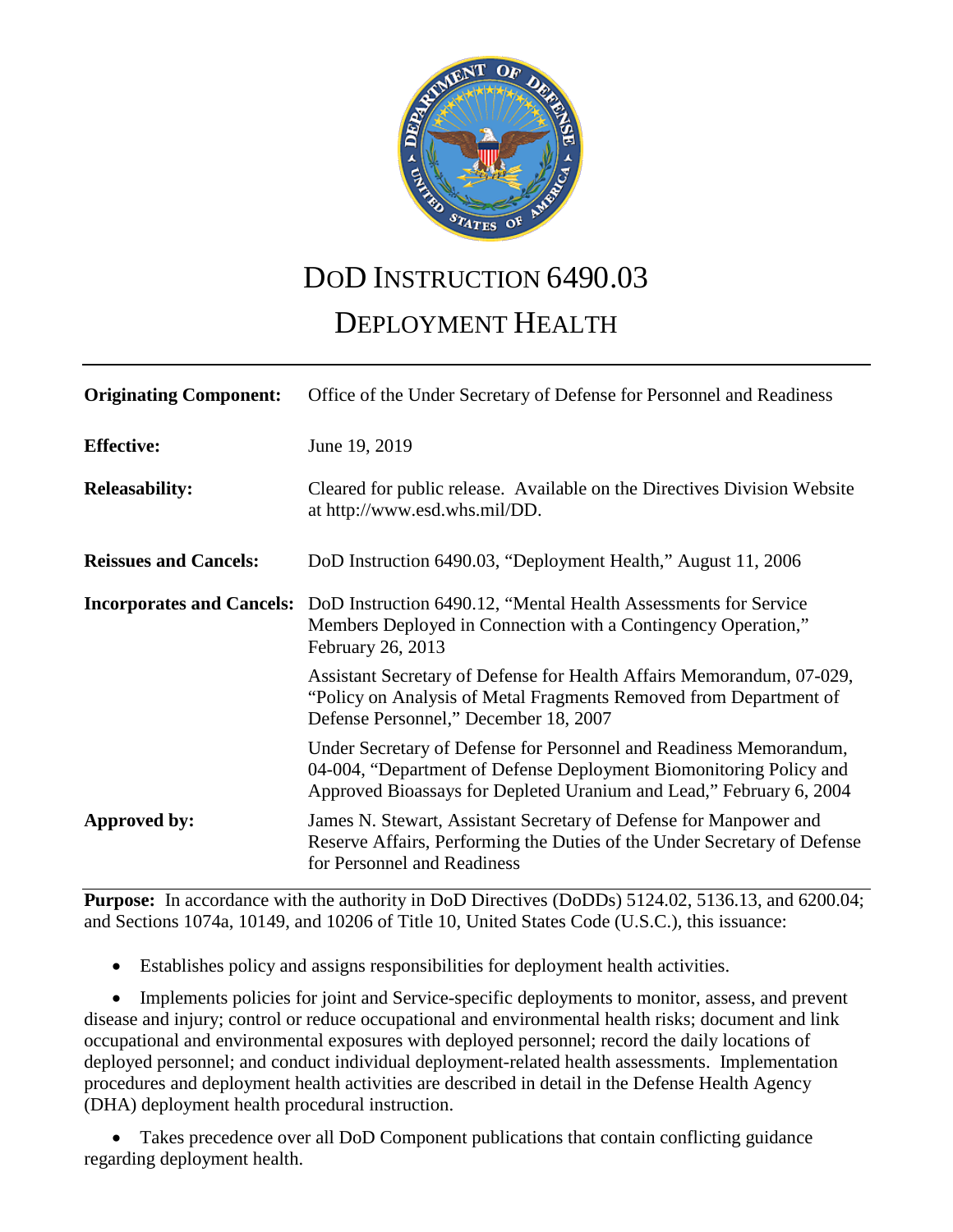

# DOD INSTRUCTION 6490.03

# DEPLOYMENT HEALTH

| <b>Originating Component:</b>    | Office of the Under Secretary of Defense for Personnel and Readiness                                                                                                                                            |
|----------------------------------|-----------------------------------------------------------------------------------------------------------------------------------------------------------------------------------------------------------------|
| <b>Effective:</b>                | June 19, 2019                                                                                                                                                                                                   |
| <b>Releasability:</b>            | Cleared for public release. Available on the Directives Division Website<br>at http://www.esd.whs.mil/DD.                                                                                                       |
| <b>Reissues and Cancels:</b>     | DoD Instruction 6490.03, "Deployment Health," August 11, 2006                                                                                                                                                   |
| <b>Incorporates and Cancels:</b> | DoD Instruction 6490.12, "Mental Health Assessments for Service<br>Members Deployed in Connection with a Contingency Operation,"<br>February 26, 2013                                                           |
|                                  | Assistant Secretary of Defense for Health Affairs Memorandum, 07-029,<br>"Policy on Analysis of Metal Fragments Removed from Department of<br>Defense Personnel," December 18, 2007                             |
|                                  | Under Secretary of Defense for Personnel and Readiness Memorandum,<br>04-004, "Department of Defense Deployment Biomonitoring Policy and<br>Approved Bioassays for Depleted Uranium and Lead," February 6, 2004 |
| Approved by:                     | James N. Stewart, Assistant Secretary of Defense for Manpower and<br>Reserve Affairs, Performing the Duties of the Under Secretary of Defense<br>for Personnel and Readiness                                    |

**Purpose:** In accordance with the authority in DoD Directives (DoDDs) 5124.02, 5136.13, and 6200.04; and Sections 1074a, 10149, and 10206 of Title 10, United States Code (U.S.C.), this issuance:

• Establishes policy and assigns responsibilities for deployment health activities.

• Implements policies for joint and Service-specific deployments to monitor, assess, and prevent disease and injury; control or reduce occupational and environmental health risks; document and link occupational and environmental exposures with deployed personnel; record the daily locations of deployed personnel; and conduct individual deployment-related health assessments. Implementation procedures and deployment health activities are described in detail in the Defense Health Agency (DHA) deployment health procedural instruction.

• Takes precedence over all DoD Component publications that contain conflicting guidance regarding deployment health.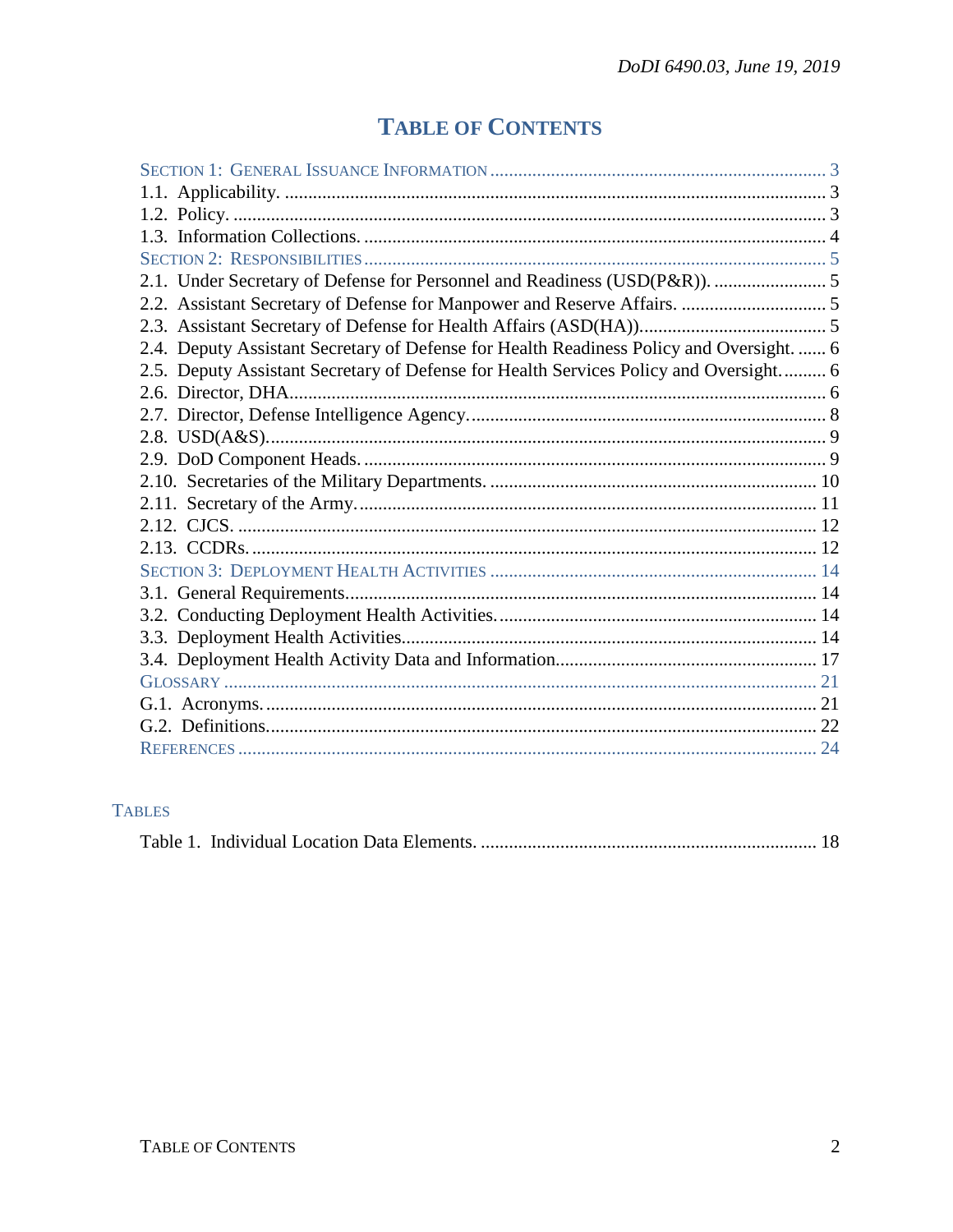# **TABLE OF CONTENTS**

| 2.4. Deputy Assistant Secretary of Defense for Health Readiness Policy and Oversight.  6 |  |
|------------------------------------------------------------------------------------------|--|
| 2.5. Deputy Assistant Secretary of Defense for Health Services Policy and Oversight 6    |  |
|                                                                                          |  |
|                                                                                          |  |
|                                                                                          |  |
|                                                                                          |  |
|                                                                                          |  |
|                                                                                          |  |
|                                                                                          |  |
|                                                                                          |  |
|                                                                                          |  |
|                                                                                          |  |
|                                                                                          |  |
|                                                                                          |  |
|                                                                                          |  |
|                                                                                          |  |
|                                                                                          |  |
|                                                                                          |  |
|                                                                                          |  |

# **TABLES**

|--|--|--|--|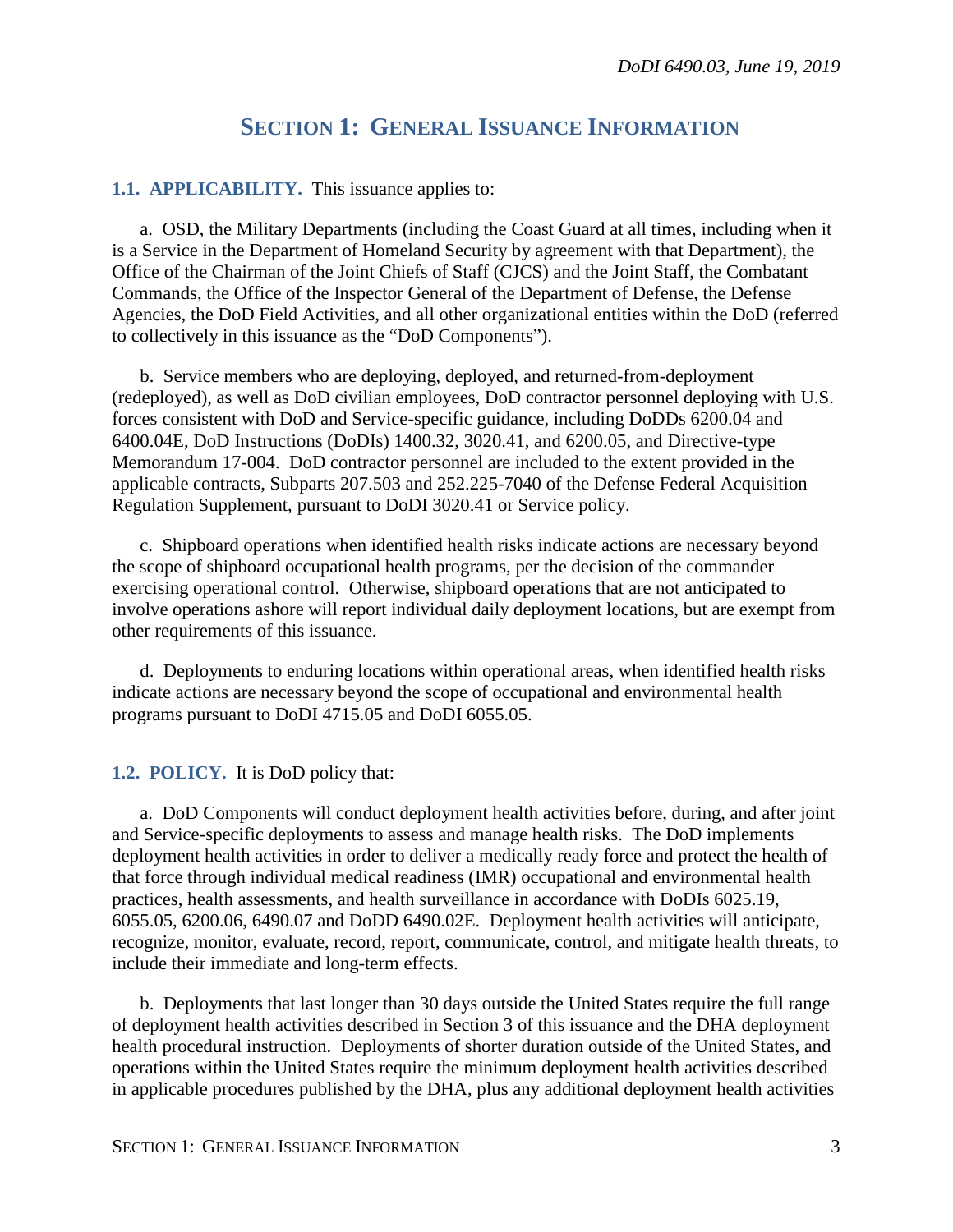# **SECTION 1: GENERAL ISSUANCE INFORMATION**

#### <span id="page-2-1"></span><span id="page-2-0"></span>**1.1. APPLICABILITY.** This issuance applies to:

a. OSD, the Military Departments (including the Coast Guard at all times, including when it is a Service in the Department of Homeland Security by agreement with that Department), the Office of the Chairman of the Joint Chiefs of Staff (CJCS) and the Joint Staff, the Combatant Commands, the Office of the Inspector General of the Department of Defense, the Defense Agencies, the DoD Field Activities, and all other organizational entities within the DoD (referred to collectively in this issuance as the "DoD Components").

b. Service members who are deploying, deployed, and returned-from-deployment (redeployed), as well as DoD civilian employees, DoD contractor personnel deploying with U.S. forces consistent with DoD and Service-specific guidance, including DoDDs 6200.04 and 6400.04E, DoD Instructions (DoDIs) 1400.32, 3020.41, and 6200.05, and Directive-type Memorandum 17-004. DoD contractor personnel are included to the extent provided in the applicable contracts, Subparts 207.503 and 252.225-7040 of the Defense Federal Acquisition Regulation Supplement, pursuant to DoDI 3020.41 or Service policy.

c. Shipboard operations when identified health risks indicate actions are necessary beyond the scope of shipboard occupational health programs, per the decision of the commander exercising operational control. Otherwise, shipboard operations that are not anticipated to involve operations ashore will report individual daily deployment locations, but are exempt from other requirements of this issuance.

d. Deployments to enduring locations within operational areas, when identified health risks indicate actions are necessary beyond the scope of occupational and environmental health programs pursuant to DoDI 4715.05 and DoDI 6055.05.

<span id="page-2-2"></span>**1.2. POLICY.** It is DoD policy that:

a. DoD Components will conduct deployment health activities before, during, and after joint and Service-specific deployments to assess and manage health risks. The DoD implements deployment health activities in order to deliver a medically ready force and protect the health of that force through individual medical readiness (IMR) occupational and environmental health practices, health assessments, and health surveillance in accordance with DoDIs 6025.19, 6055.05, 6200.06, 6490.07 and DoDD 6490.02E. Deployment health activities will anticipate, recognize, monitor, evaluate, record, report, communicate, control, and mitigate health threats, to include their immediate and long-term effects.

b. Deployments that last longer than 30 days outside the United States require the full range of deployment health activities described in Section 3 of this issuance and the DHA deployment health procedural instruction. Deployments of shorter duration outside of the United States, and operations within the United States require the minimum deployment health activities described in applicable procedures published by the DHA, plus any additional deployment health activities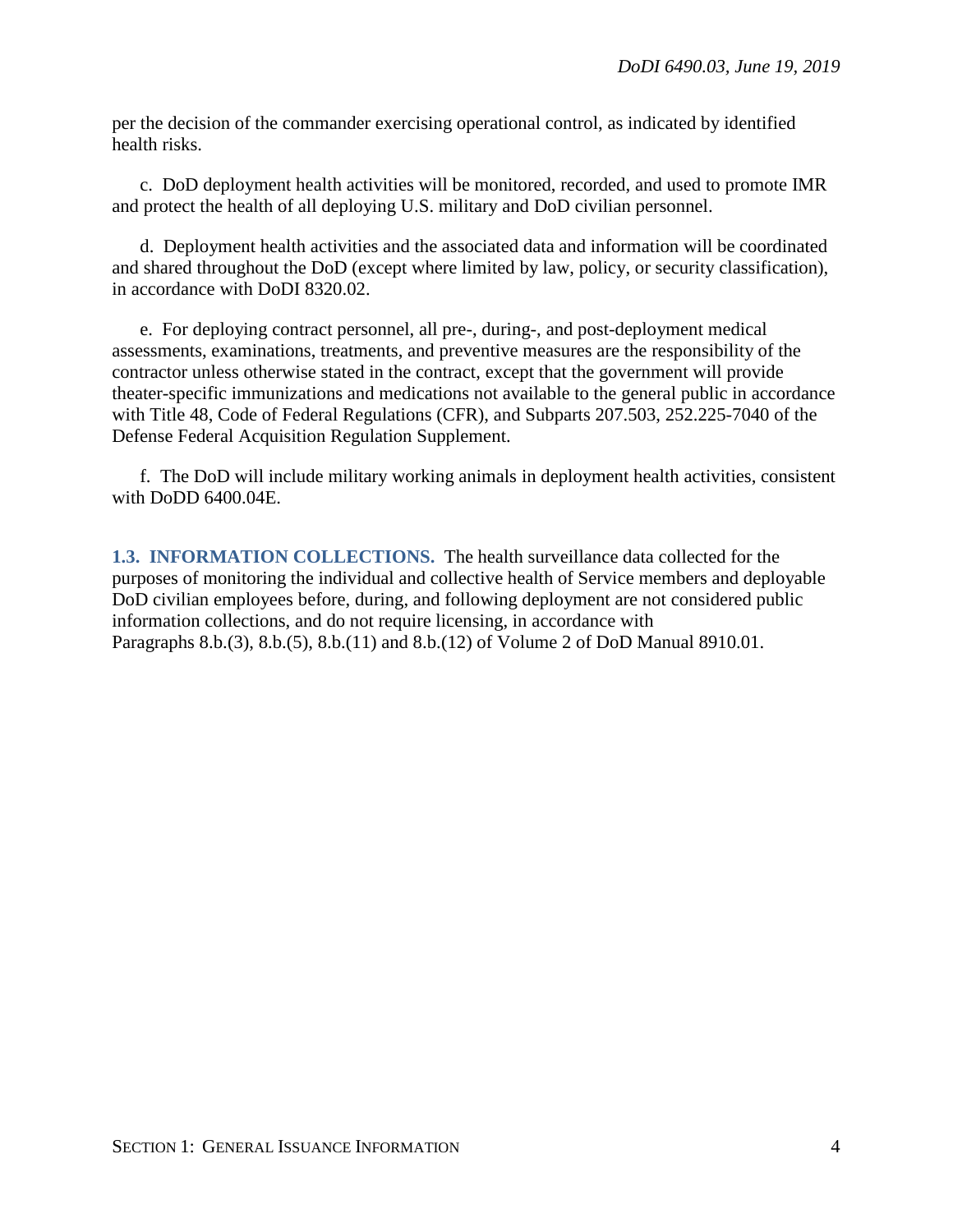per the decision of the commander exercising operational control, as indicated by identified health risks.

c. DoD deployment health activities will be monitored, recorded, and used to promote IMR and protect the health of all deploying U.S. military and DoD civilian personnel.

d. Deployment health activities and the associated data and information will be coordinated and shared throughout the DoD (except where limited by law, policy, or security classification), in accordance with DoDI 8320.02.

e. For deploying contract personnel, all pre-, during-, and post-deployment medical assessments, examinations, treatments, and preventive measures are the responsibility of the contractor unless otherwise stated in the contract, except that the government will provide theater-specific immunizations and medications not available to the general public in accordance with Title 48, Code of Federal Regulations (CFR), and Subparts 207.503, 252.225-7040 of the Defense Federal Acquisition Regulation Supplement.

f. The DoD will include military working animals in deployment health activities, consistent with DoDD 6400.04E.

<span id="page-3-0"></span>**1.3. INFORMATION COLLECTIONS.** The health surveillance data collected for the purposes of monitoring the individual and collective health of Service members and deployable DoD civilian employees before, during, and following deployment are not considered public information collections, and do not require licensing, in accordance with Paragraphs 8.b.(3), 8.b.(5), 8.b.(11) and 8.b.(12) of Volume 2 of DoD Manual 8910.01.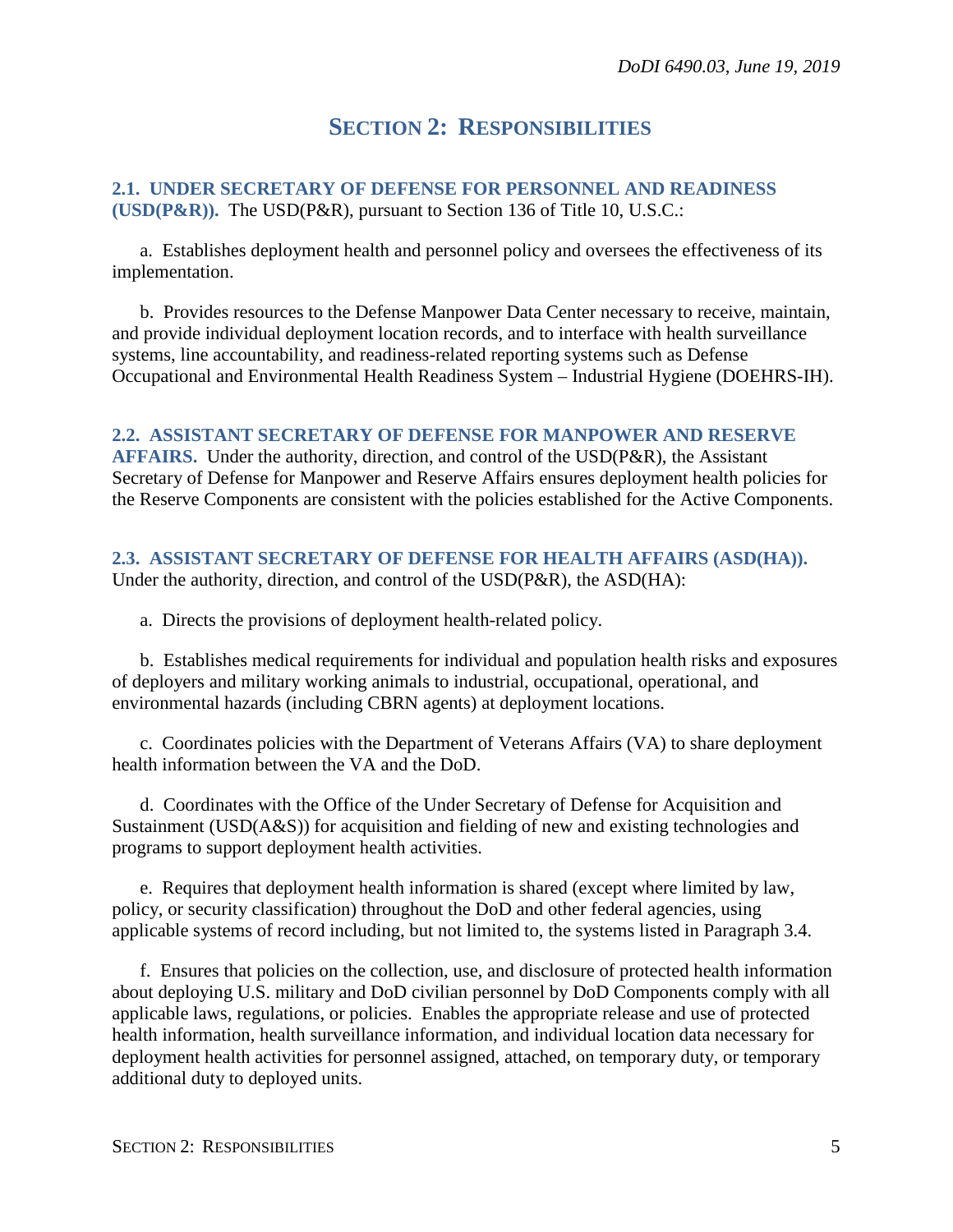# **SECTION 2: RESPONSIBILITIES**

<span id="page-4-1"></span><span id="page-4-0"></span>**2.1. UNDER SECRETARY OF DEFENSE FOR PERSONNEL AND READINESS (USD(P&R)).** The USD(P&R), pursuant to Section 136 of Title 10, U.S.C.:

a. Establishes deployment health and personnel policy and oversees the effectiveness of its implementation.

b. Provides resources to the Defense Manpower Data Center necessary to receive, maintain, and provide individual deployment location records, and to interface with health surveillance systems, line accountability, and readiness-related reporting systems such as Defense Occupational and Environmental Health Readiness System – Industrial Hygiene (DOEHRS-IH).

#### <span id="page-4-2"></span>**2.2. ASSISTANT SECRETARY OF DEFENSE FOR MANPOWER AND RESERVE**

**AFFAIRS.** Under the authority, direction, and control of the USD(P&R), the Assistant Secretary of Defense for Manpower and Reserve Affairs ensures deployment health policies for the Reserve Components are consistent with the policies established for the Active Components.

# <span id="page-4-3"></span>**2.3. ASSISTANT SECRETARY OF DEFENSE FOR HEALTH AFFAIRS (ASD(HA)).**

Under the authority, direction, and control of the USD(P&R), the ASD(HA):

a. Directs the provisions of deployment health-related policy.

b. Establishes medical requirements for individual and population health risks and exposures of deployers and military working animals to industrial, occupational, operational, and environmental hazards (including CBRN agents) at deployment locations.

c. Coordinates policies with the Department of Veterans Affairs (VA) to share deployment health information between the VA and the DoD.

d. Coordinates with the Office of the Under Secretary of Defense for Acquisition and Sustainment (USD(A&S)) for acquisition and fielding of new and existing technologies and programs to support deployment health activities.

e. Requires that deployment health information is shared (except where limited by law, policy, or security classification) throughout the DoD and other federal agencies, using applicable systems of record including, but not limited to, the systems listed in Paragraph 3.4.

f. Ensures that policies on the collection, use, and disclosure of protected health information about deploying U.S. military and DoD civilian personnel by DoD Components comply with all applicable laws, regulations, or policies. Enables the appropriate release and use of protected health information, health surveillance information, and individual location data necessary for deployment health activities for personnel assigned, attached, on temporary duty, or temporary additional duty to deployed units.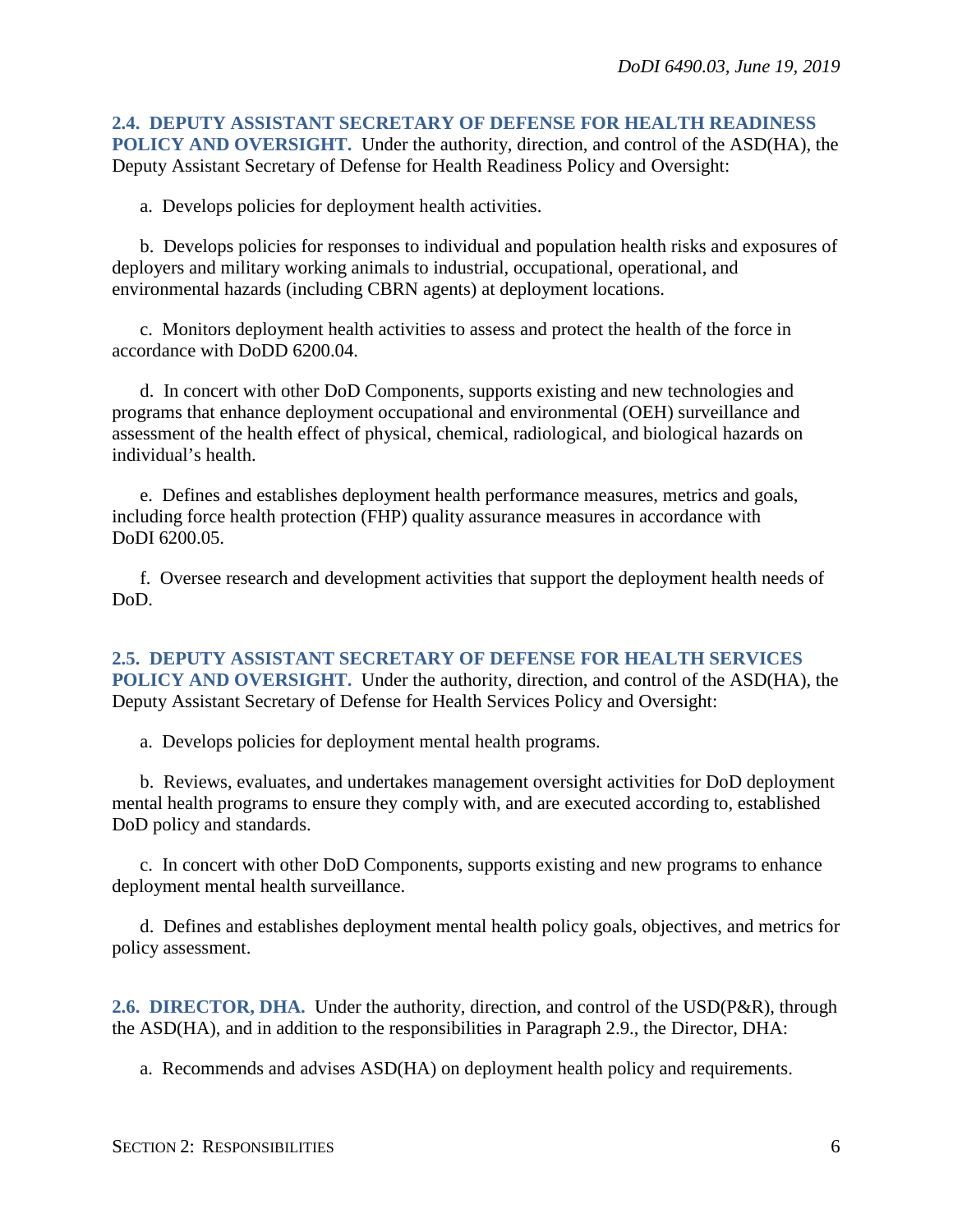#### <span id="page-5-0"></span>**2.4. DEPUTY ASSISTANT SECRETARY OF DEFENSE FOR HEALTH READINESS POLICY AND OVERSIGHT.** Under the authority, direction, and control of the ASD(HA), the Deputy Assistant Secretary of Defense for Health Readiness Policy and Oversight:

a. Develops policies for deployment health activities.

b. Develops policies for responses to individual and population health risks and exposures of deployers and military working animals to industrial, occupational, operational, and environmental hazards (including CBRN agents) at deployment locations.

c. Monitors deployment health activities to assess and protect the health of the force in accordance with DoDD 6200.04.

d. In concert with other DoD Components, supports existing and new technologies and programs that enhance deployment occupational and environmental (OEH) surveillance and assessment of the health effect of physical, chemical, radiological, and biological hazards on individual's health.

e. Defines and establishes deployment health performance measures, metrics and goals, including force health protection (FHP) quality assurance measures in accordance with DoDI 6200.05.

f. Oversee research and development activities that support the deployment health needs of DoD.

<span id="page-5-1"></span>**2.5. DEPUTY ASSISTANT SECRETARY OF DEFENSE FOR HEALTH SERVICES POLICY AND OVERSIGHT.** Under the authority, direction, and control of the ASD(HA), the Deputy Assistant Secretary of Defense for Health Services Policy and Oversight:

a. Develops policies for deployment mental health programs.

b. Reviews, evaluates, and undertakes management oversight activities for DoD deployment mental health programs to ensure they comply with, and are executed according to, established DoD policy and standards.

c. In concert with other DoD Components, supports existing and new programs to enhance deployment mental health surveillance.

d. Defines and establishes deployment mental health policy goals, objectives, and metrics for policy assessment.

<span id="page-5-2"></span>**2.6. DIRECTOR, DHA.** Under the authority, direction, and control of the USD(P&R), through the ASD(HA), and in addition to the responsibilities in Paragraph 2.9., the Director, DHA:

a. Recommends and advises ASD(HA) on deployment health policy and requirements.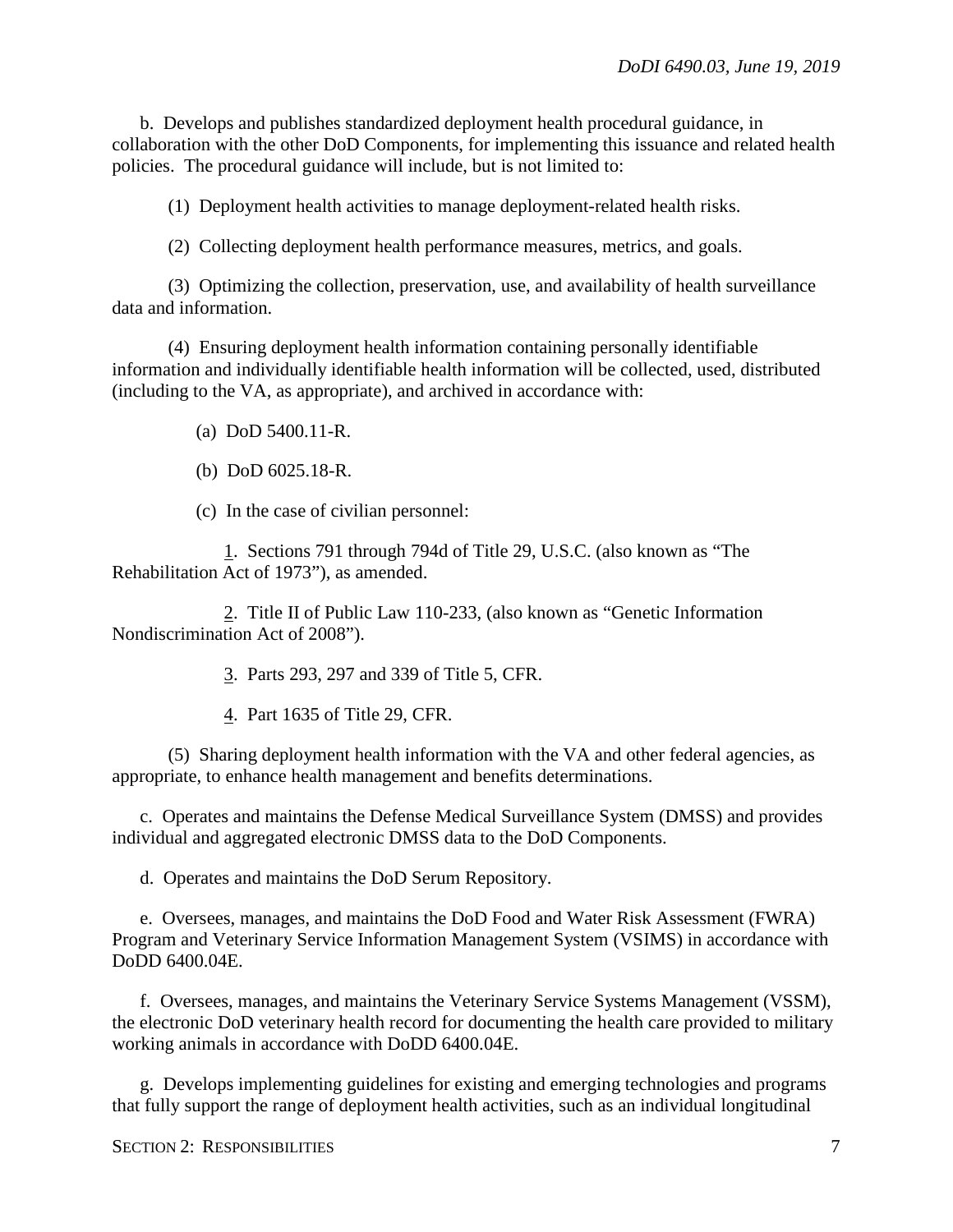b. Develops and publishes standardized deployment health procedural guidance, in collaboration with the other DoD Components, for implementing this issuance and related health policies. The procedural guidance will include, but is not limited to:

(1) Deployment health activities to manage deployment-related health risks.

(2) Collecting deployment health performance measures, metrics, and goals.

(3) Optimizing the collection, preservation, use, and availability of health surveillance data and information.

(4) Ensuring deployment health information containing personally identifiable information and individually identifiable health information will be collected, used, distributed (including to the VA, as appropriate), and archived in accordance with:

(a) DoD 5400.11-R.

(b) DoD 6025.18-R.

(c) In the case of civilian personnel:

1. Sections 791 through 794d of Title 29, U.S.C. (also known as "The Rehabilitation Act of 1973"), as amended.

2. Title II of Public Law 110-233, (also known as "Genetic Information Nondiscrimination Act of 2008").

3. Parts 293, 297 and 339 of Title 5, CFR.

4. Part 1635 of Title 29, CFR.

(5) Sharing deployment health information with the VA and other federal agencies, as appropriate, to enhance health management and benefits determinations.

c. Operates and maintains the Defense Medical Surveillance System (DMSS) and provides individual and aggregated electronic DMSS data to the DoD Components.

d. Operates and maintains the DoD Serum Repository.

e. Oversees, manages, and maintains the DoD Food and Water Risk Assessment (FWRA) Program and Veterinary Service Information Management System (VSIMS) in accordance with DoDD 6400.04E.

f. Oversees, manages, and maintains the Veterinary Service Systems Management (VSSM), the electronic DoD veterinary health record for documenting the health care provided to military working animals in accordance with DoDD 6400.04E.

g. Develops implementing guidelines for existing and emerging technologies and programs that fully support the range of deployment health activities, such as an individual longitudinal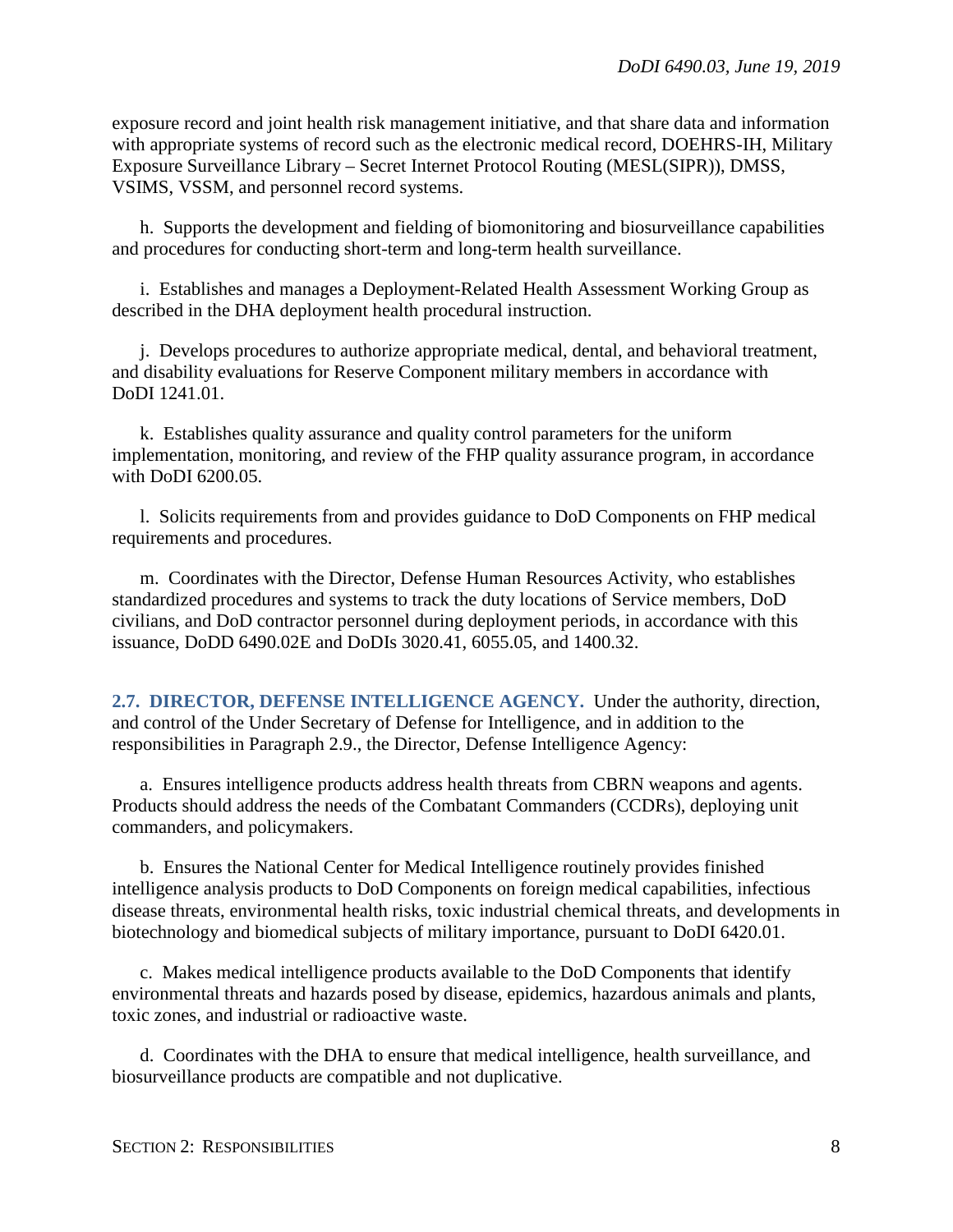exposure record and joint health risk management initiative, and that share data and information with appropriate systems of record such as the electronic medical record, DOEHRS-IH, Military Exposure Surveillance Library – Secret Internet Protocol Routing (MESL(SIPR)), DMSS, VSIMS, VSSM, and personnel record systems.

h. Supports the development and fielding of biomonitoring and biosurveillance capabilities and procedures for conducting short-term and long-term health surveillance.

i. Establishes and manages a Deployment-Related Health Assessment Working Group as described in the DHA deployment health procedural instruction.

j. Develops procedures to authorize appropriate medical, dental, and behavioral treatment, and disability evaluations for Reserve Component military members in accordance with DoDI 1241.01.

k. Establishes quality assurance and quality control parameters for the uniform implementation, monitoring, and review of the FHP quality assurance program, in accordance with DoDI 6200.05.

l. Solicits requirements from and provides guidance to DoD Components on FHP medical requirements and procedures.

m. Coordinates with the Director, Defense Human Resources Activity, who establishes standardized procedures and systems to track the duty locations of Service members, DoD civilians, and DoD contractor personnel during deployment periods, in accordance with this issuance, DoDD 6490.02E and DoDIs 3020.41, 6055.05, and 1400.32.

<span id="page-7-0"></span>**2.7. DIRECTOR, DEFENSE INTELLIGENCE AGENCY.** Under the authority, direction, and control of the Under Secretary of Defense for Intelligence, and in addition to the responsibilities in Paragraph 2.9., the Director, Defense Intelligence Agency:

a. Ensures intelligence products address health threats from CBRN weapons and agents. Products should address the needs of the Combatant Commanders (CCDRs), deploying unit commanders, and policymakers.

b. Ensures the National Center for Medical Intelligence routinely provides finished intelligence analysis products to DoD Components on foreign medical capabilities, infectious disease threats, environmental health risks, toxic industrial chemical threats, and developments in biotechnology and biomedical subjects of military importance, pursuant to DoDI 6420.01.

c. Makes medical intelligence products available to the DoD Components that identify environmental threats and hazards posed by disease, epidemics, hazardous animals and plants, toxic zones, and industrial or radioactive waste.

d. Coordinates with the DHA to ensure that medical intelligence, health surveillance, and biosurveillance products are compatible and not duplicative.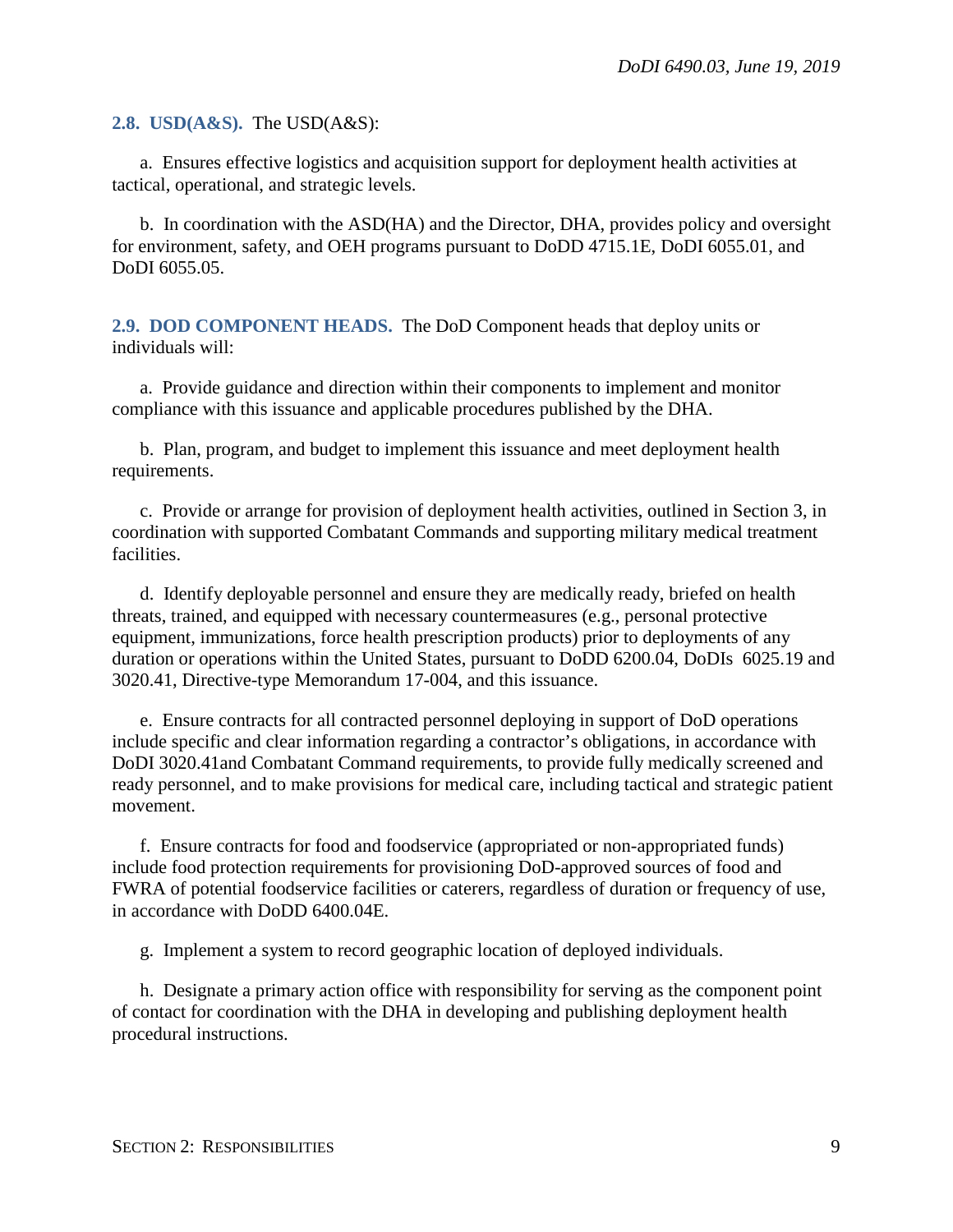<span id="page-8-0"></span>**2.8. USD(A&S).** The USD(A&S):

a. Ensures effective logistics and acquisition support for deployment health activities at tactical, operational, and strategic levels.

b. In coordination with the ASD(HA) and the Director, DHA, provides policy and oversight for environment, safety, and OEH programs pursuant to DoDD 4715.1E, DoDI 6055.01, and DoDI 6055.05.

<span id="page-8-1"></span>**2.9. DOD COMPONENT HEADS.** The DoD Component heads that deploy units or individuals will:

a. Provide guidance and direction within their components to implement and monitor compliance with this issuance and applicable procedures published by the DHA.

b. Plan, program, and budget to implement this issuance and meet deployment health requirements.

c. Provide or arrange for provision of deployment health activities, outlined in Section 3, in coordination with supported Combatant Commands and supporting military medical treatment facilities.

d. Identify deployable personnel and ensure they are medically ready, briefed on health threats, trained, and equipped with necessary countermeasures (e.g., personal protective equipment, immunizations, force health prescription products) prior to deployments of any duration or operations within the United States, pursuant to DoDD 6200.04, DoDIs 6025.19 and 3020.41, Directive-type Memorandum 17-004, and this issuance.

e. Ensure contracts for all contracted personnel deploying in support of DoD operations include specific and clear information regarding a contractor's obligations, in accordance with DoDI 3020.41and Combatant Command requirements, to provide fully medically screened and ready personnel, and to make provisions for medical care, including tactical and strategic patient movement.

f. Ensure contracts for food and foodservice (appropriated or non-appropriated funds) include food protection requirements for provisioning DoD-approved sources of food and FWRA of potential foodservice facilities or caterers, regardless of duration or frequency of use, in accordance with DoDD 6400.04E.

g. Implement a system to record geographic location of deployed individuals.

h. Designate a primary action office with responsibility for serving as the component point of contact for coordination with the DHA in developing and publishing deployment health procedural instructions.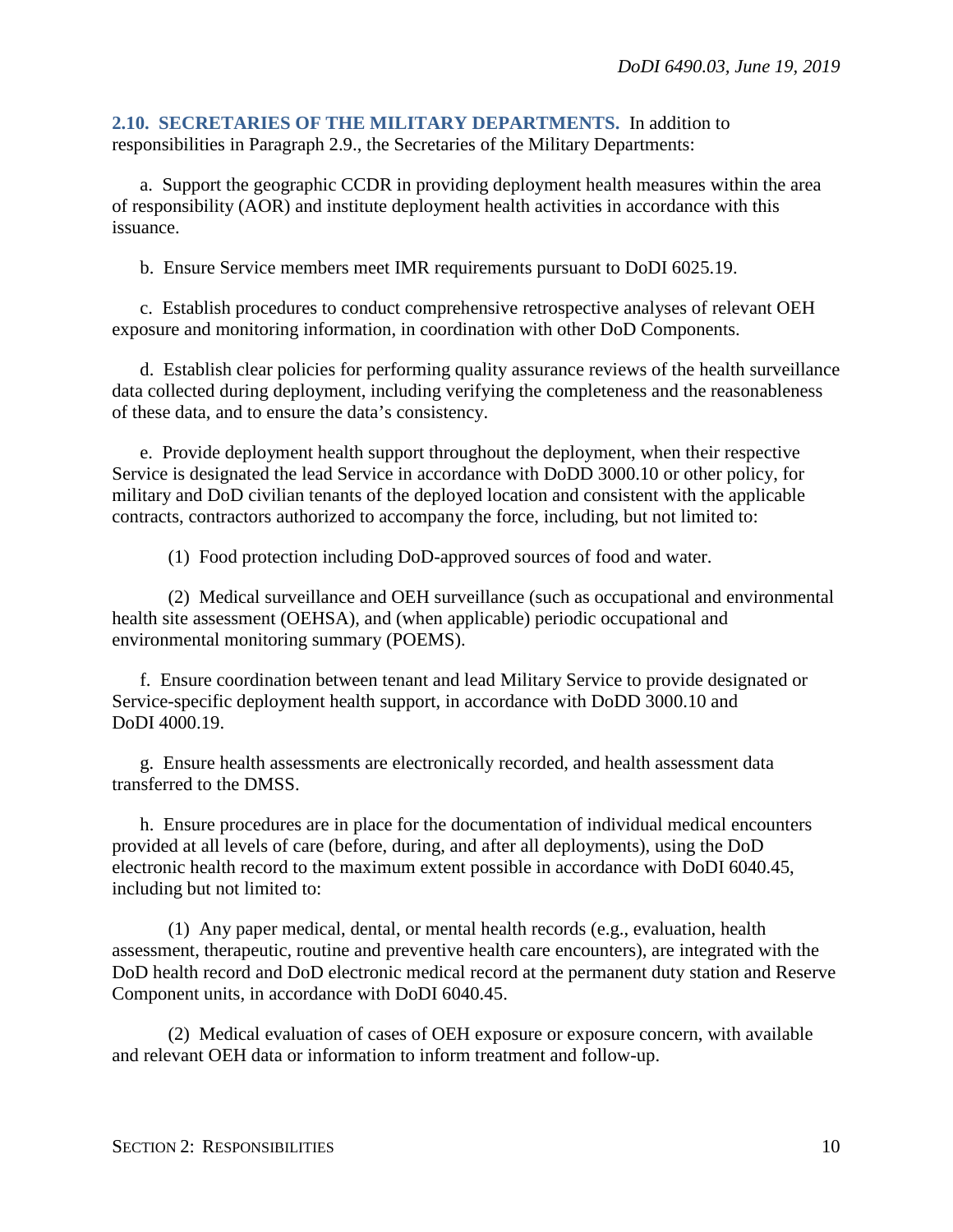<span id="page-9-0"></span>**2.10. SECRETARIES OF THE MILITARY DEPARTMENTS.** In addition to responsibilities in Paragraph 2.9., the Secretaries of the Military Departments:

a. Support the geographic CCDR in providing deployment health measures within the area of responsibility (AOR) and institute deployment health activities in accordance with this issuance.

b. Ensure Service members meet IMR requirements pursuant to DoDI 6025.19.

c. Establish procedures to conduct comprehensive retrospective analyses of relevant OEH exposure and monitoring information, in coordination with other DoD Components.

d. Establish clear policies for performing quality assurance reviews of the health surveillance data collected during deployment, including verifying the completeness and the reasonableness of these data, and to ensure the data's consistency.

e. Provide deployment health support throughout the deployment, when their respective Service is designated the lead Service in accordance with DoDD 3000.10 or other policy, for military and DoD civilian tenants of the deployed location and consistent with the applicable contracts, contractors authorized to accompany the force, including, but not limited to:

(1) Food protection including DoD-approved sources of food and water.

(2) Medical surveillance and OEH surveillance (such as occupational and environmental health site assessment (OEHSA), and (when applicable) periodic occupational and environmental monitoring summary (POEMS).

f. Ensure coordination between tenant and lead Military Service to provide designated or Service-specific deployment health support, in accordance with DoDD 3000.10 and DoDI 4000.19.

g. Ensure health assessments are electronically recorded, and health assessment data transferred to the DMSS.

h. Ensure procedures are in place for the documentation of individual medical encounters provided at all levels of care (before, during, and after all deployments), using the DoD electronic health record to the maximum extent possible in accordance with DoDI 6040.45, including but not limited to:

(1) Any paper medical, dental, or mental health records (e.g., evaluation, health assessment, therapeutic, routine and preventive health care encounters), are integrated with the DoD health record and DoD electronic medical record at the permanent duty station and Reserve Component units, in accordance with DoDI 6040.45.

(2) Medical evaluation of cases of OEH exposure or exposure concern, with available and relevant OEH data or information to inform treatment and follow-up.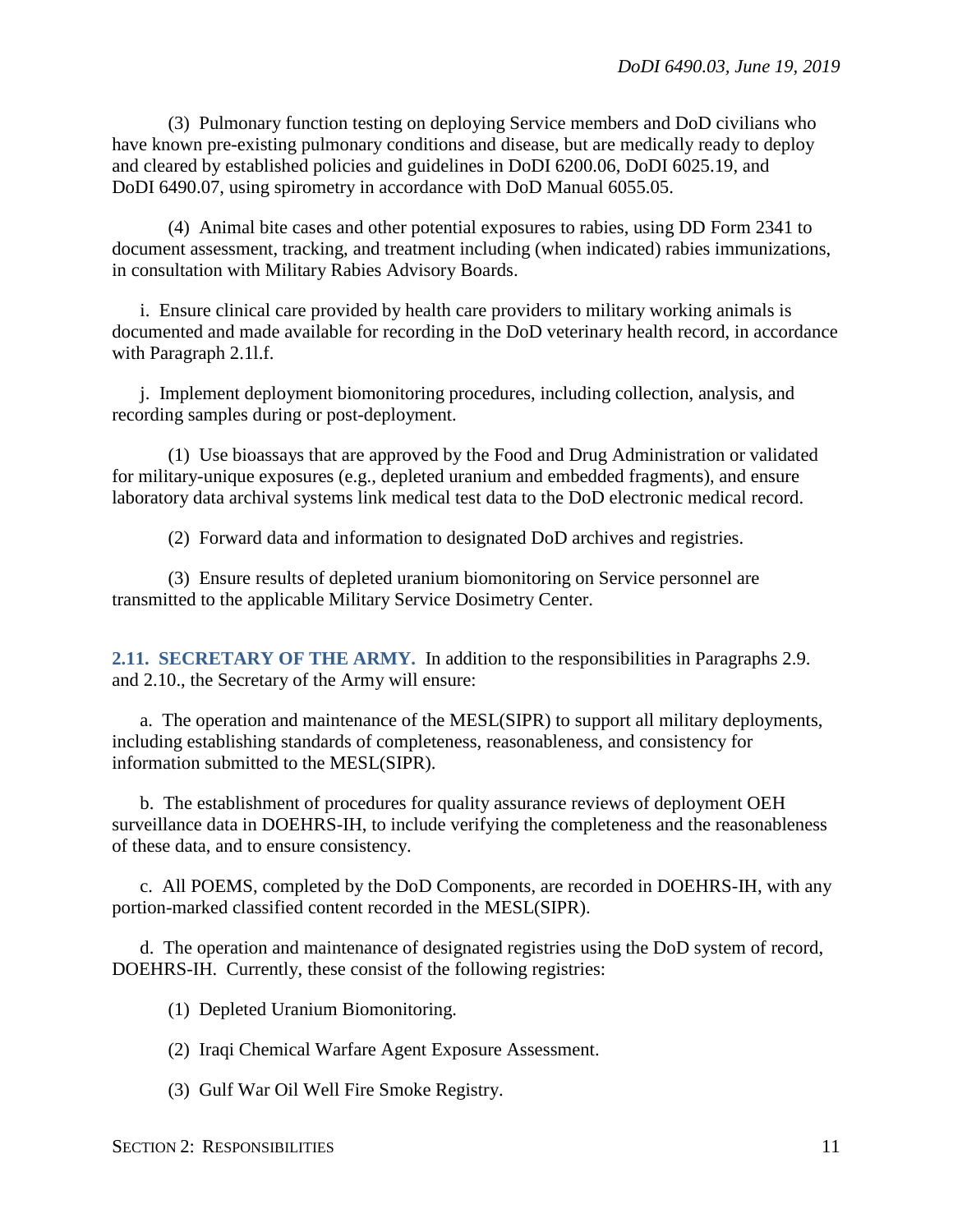(3) Pulmonary function testing on deploying Service members and DoD civilians who have known pre-existing pulmonary conditions and disease, but are medically ready to deploy and cleared by established policies and guidelines in DoDI 6200.06, DoDI 6025.19, and DoDI 6490.07, using spirometry in accordance with DoD Manual 6055.05.

(4) Animal bite cases and other potential exposures to rabies, using DD Form 2341 to document assessment, tracking, and treatment including (when indicated) rabies immunizations, in consultation with Military Rabies Advisory Boards.

i. Ensure clinical care provided by health care providers to military working animals is documented and made available for recording in the DoD veterinary health record, in accordance with Paragraph 2.1l.f.

j. Implement deployment biomonitoring procedures, including collection, analysis, and recording samples during or post-deployment.

(1) Use bioassays that are approved by the Food and Drug Administration or validated for military-unique exposures (e.g., depleted uranium and embedded fragments), and ensure laboratory data archival systems link medical test data to the DoD electronic medical record.

(2) Forward data and information to designated DoD archives and registries.

(3) Ensure results of depleted uranium biomonitoring on Service personnel are transmitted to the applicable Military Service Dosimetry Center.

<span id="page-10-0"></span>**2.11. SECRETARY OF THE ARMY.** In addition to the responsibilities in Paragraphs 2.9. and 2.10., the Secretary of the Army will ensure:

a. The operation and maintenance of the MESL(SIPR) to support all military deployments, including establishing standards of completeness, reasonableness, and consistency for information submitted to the MESL(SIPR).

b. The establishment of procedures for quality assurance reviews of deployment OEH surveillance data in DOEHRS-IH, to include verifying the completeness and the reasonableness of these data, and to ensure consistency.

c. All POEMS, completed by the DoD Components, are recorded in DOEHRS-IH, with any portion-marked classified content recorded in the MESL(SIPR).

d. The operation and maintenance of designated registries using the DoD system of record, DOEHRS-IH. Currently, these consist of the following registries:

(1) Depleted Uranium Biomonitoring.

(2) Iraqi Chemical Warfare Agent Exposure Assessment.

(3) Gulf War Oil Well Fire Smoke Registry.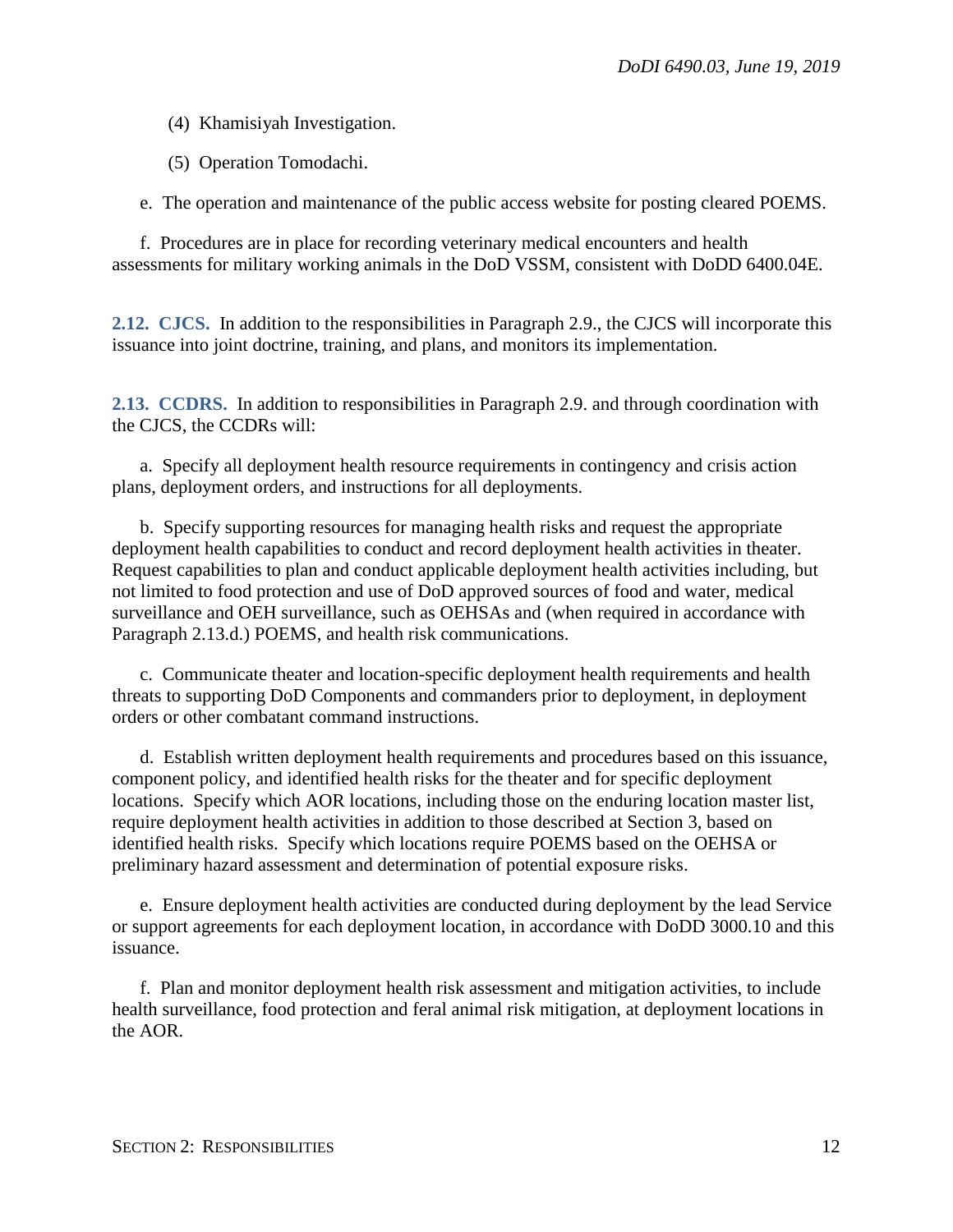(4) Khamisiyah Investigation.

(5) Operation Tomodachi.

e. The operation and maintenance of the public access website for posting cleared POEMS.

f. Procedures are in place for recording veterinary medical encounters and health assessments for military working animals in the DoD VSSM, consistent with DoDD 6400.04E.

<span id="page-11-0"></span>**2.12. CJCS.** In addition to the responsibilities in Paragraph 2.9., the CJCS will incorporate this issuance into joint doctrine, training, and plans, and monitors its implementation.

<span id="page-11-1"></span>**2.13. CCDRS.** In addition to responsibilities in Paragraph 2.9. and through coordination with the CJCS, the CCDRs will:

a. Specify all deployment health resource requirements in contingency and crisis action plans, deployment orders, and instructions for all deployments.

b. Specify supporting resources for managing health risks and request the appropriate deployment health capabilities to conduct and record deployment health activities in theater. Request capabilities to plan and conduct applicable deployment health activities including, but not limited to food protection and use of DoD approved sources of food and water, medical surveillance and OEH surveillance, such as OEHSAs and (when required in accordance with Paragraph 2.13.d.) POEMS, and health risk communications.

c. Communicate theater and location-specific deployment health requirements and health threats to supporting DoD Components and commanders prior to deployment, in deployment orders or other combatant command instructions.

d. Establish written deployment health requirements and procedures based on this issuance, component policy, and identified health risks for the theater and for specific deployment locations. Specify which AOR locations, including those on the enduring location master list, require deployment health activities in addition to those described at Section 3, based on identified health risks. Specify which locations require POEMS based on the OEHSA or preliminary hazard assessment and determination of potential exposure risks.

e. Ensure deployment health activities are conducted during deployment by the lead Service or support agreements for each deployment location, in accordance with DoDD 3000.10 and this issuance.

f. Plan and monitor deployment health risk assessment and mitigation activities, to include health surveillance, food protection and feral animal risk mitigation, at deployment locations in the AOR.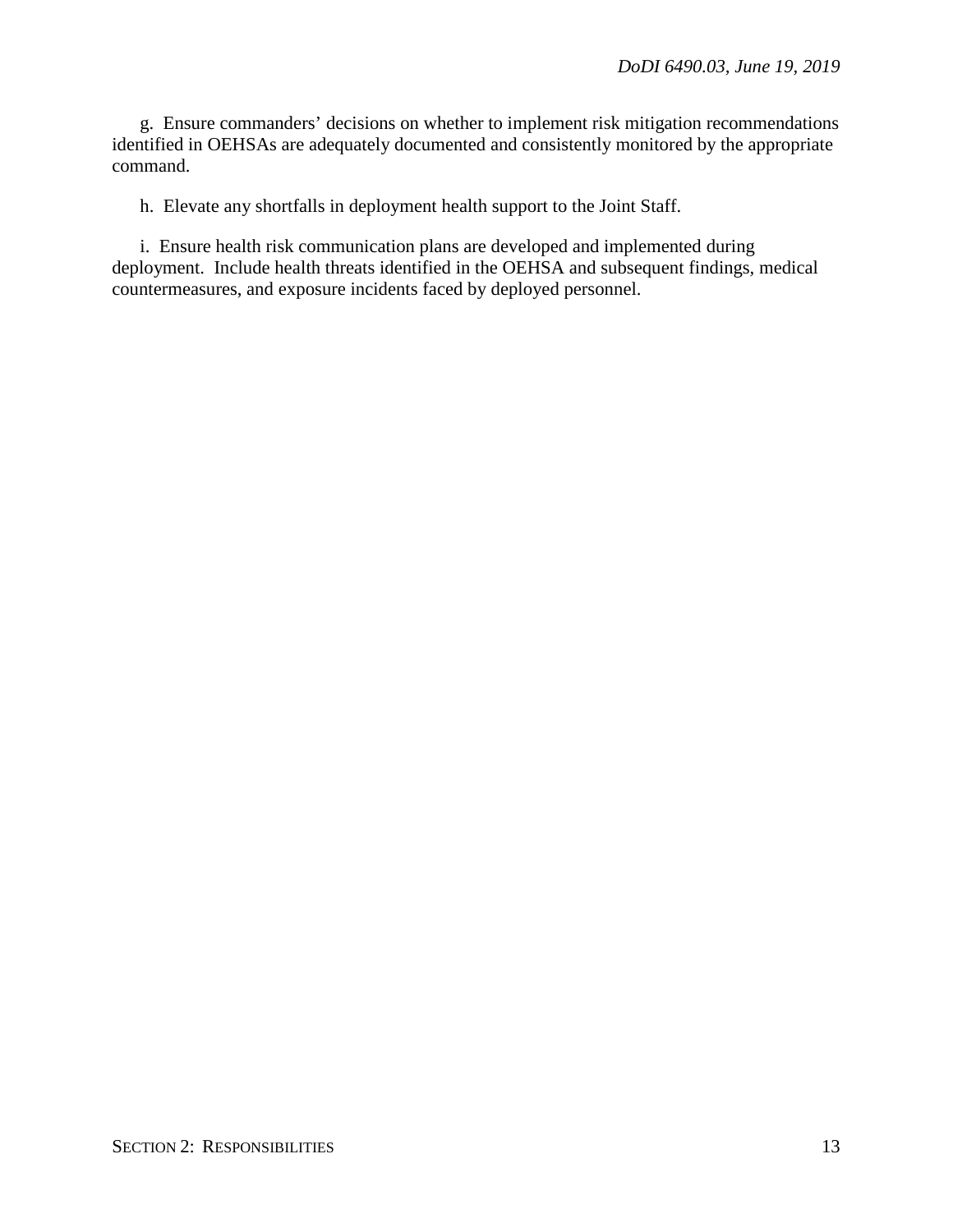g. Ensure commanders' decisions on whether to implement risk mitigation recommendations identified in OEHSAs are adequately documented and consistently monitored by the appropriate command.

h. Elevate any shortfalls in deployment health support to the Joint Staff.

i. Ensure health risk communication plans are developed and implemented during deployment. Include health threats identified in the OEHSA and subsequent findings, medical countermeasures, and exposure incidents faced by deployed personnel.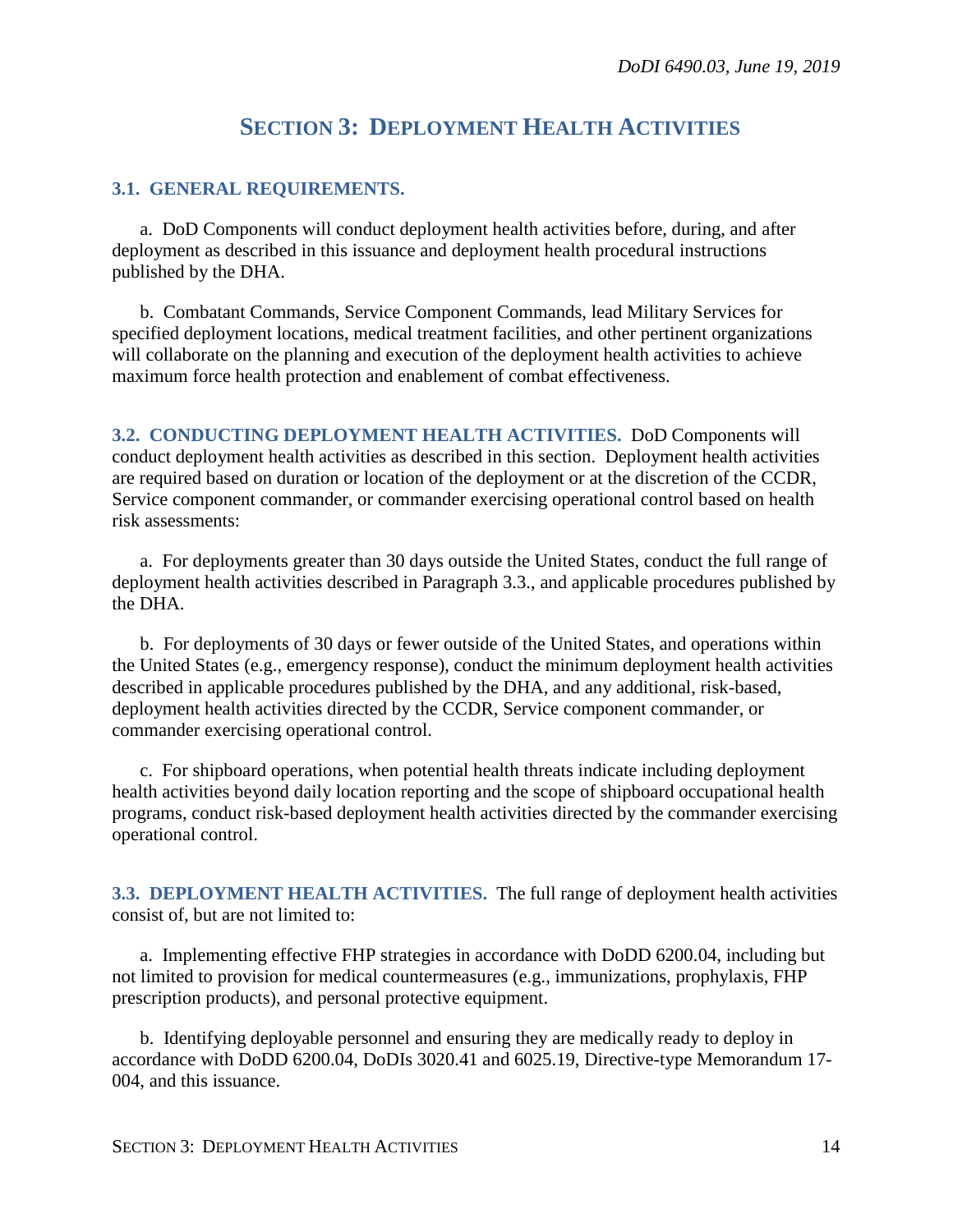# **SECTION 3: DEPLOYMENT HEALTH ACTIVITIES**

#### <span id="page-13-1"></span><span id="page-13-0"></span>**3.1. GENERAL REQUIREMENTS.**

a. DoD Components will conduct deployment health activities before, during, and after deployment as described in this issuance and deployment health procedural instructions published by the DHA.

b. Combatant Commands, Service Component Commands, lead Military Services for specified deployment locations, medical treatment facilities, and other pertinent organizations will collaborate on the planning and execution of the deployment health activities to achieve maximum force health protection and enablement of combat effectiveness.

<span id="page-13-2"></span>**3.2. CONDUCTING DEPLOYMENT HEALTH ACTIVITIES.** DoD Components will conduct deployment health activities as described in this section. Deployment health activities are required based on duration or location of the deployment or at the discretion of the CCDR, Service component commander, or commander exercising operational control based on health risk assessments:

a. For deployments greater than 30 days outside the United States, conduct the full range of deployment health activities described in Paragraph 3.3., and applicable procedures published by the DHA.

b. For deployments of 30 days or fewer outside of the United States, and operations within the United States (e.g., emergency response), conduct the minimum deployment health activities described in applicable procedures published by the DHA, and any additional, risk-based, deployment health activities directed by the CCDR, Service component commander, or commander exercising operational control.

c. For shipboard operations, when potential health threats indicate including deployment health activities beyond daily location reporting and the scope of shipboard occupational health programs, conduct risk-based deployment health activities directed by the commander exercising operational control.

<span id="page-13-3"></span>**3.3. DEPLOYMENT HEALTH ACTIVITIES.** The full range of deployment health activities consist of, but are not limited to:

a. Implementing effective FHP strategies in accordance with DoDD 6200.04, including but not limited to provision for medical countermeasures (e.g., immunizations, prophylaxis, FHP prescription products), and personal protective equipment.

b. Identifying deployable personnel and ensuring they are medically ready to deploy in accordance with DoDD 6200.04, DoDIs 3020.41 and 6025.19, Directive-type Memorandum 17- 004, and this issuance.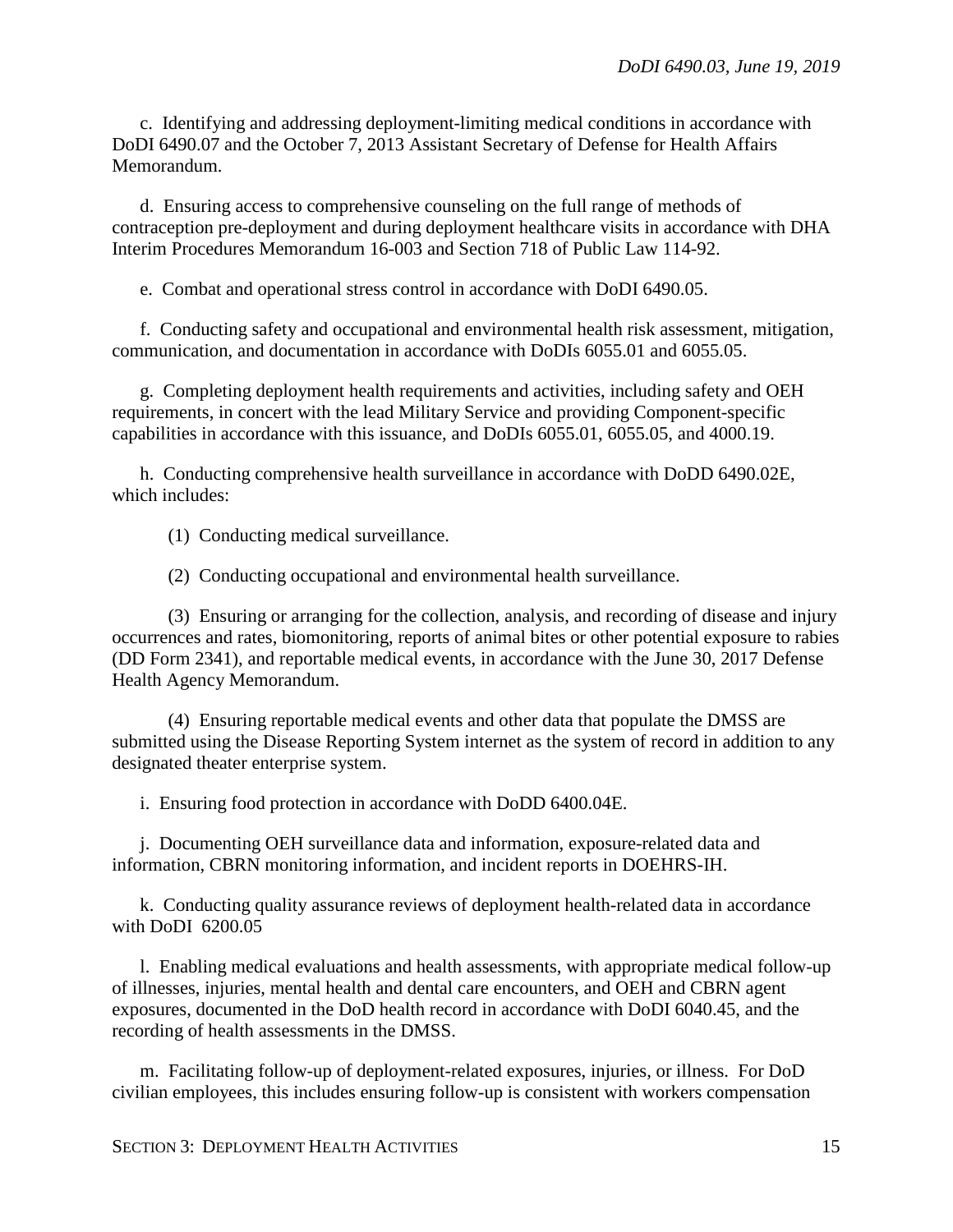c. Identifying and addressing deployment-limiting medical conditions in accordance with DoDI 6490.07 and the October 7, 2013 Assistant Secretary of Defense for Health Affairs Memorandum.

d. Ensuring access to comprehensive counseling on the full range of methods of contraception pre-deployment and during deployment healthcare visits in accordance with DHA Interim Procedures Memorandum 16-003 and Section 718 of Public Law 114-92.

e. Combat and operational stress control in accordance with DoDI 6490.05.

f. Conducting safety and occupational and environmental health risk assessment, mitigation, communication, and documentation in accordance with DoDIs 6055.01 and 6055.05.

g. Completing deployment health requirements and activities, including safety and OEH requirements, in concert with the lead Military Service and providing Component-specific capabilities in accordance with this issuance, and DoDIs 6055.01, 6055.05, and 4000.19.

h. Conducting comprehensive health surveillance in accordance with DoDD 6490.02E, which includes:

(1) Conducting medical surveillance.

(2) Conducting occupational and environmental health surveillance.

(3) Ensuring or arranging for the collection, analysis, and recording of disease and injury occurrences and rates, biomonitoring, reports of animal bites or other potential exposure to rabies (DD Form 2341), and reportable medical events, in accordance with the June 30, 2017 Defense Health Agency Memorandum.

(4) Ensuring reportable medical events and other data that populate the DMSS are submitted using the Disease Reporting System internet as the system of record in addition to any designated theater enterprise system.

i. Ensuring food protection in accordance with DoDD 6400.04E.

j. Documenting OEH surveillance data and information, exposure-related data and information, CBRN monitoring information, and incident reports in DOEHRS-IH.

k. Conducting quality assurance reviews of deployment health-related data in accordance with DoDI 6200.05

l. Enabling medical evaluations and health assessments, with appropriate medical follow-up of illnesses, injuries, mental health and dental care encounters, and OEH and CBRN agent exposures, documented in the DoD health record in accordance with DoDI 6040.45, and the recording of health assessments in the DMSS.

m. Facilitating follow-up of deployment-related exposures, injuries, or illness. For DoD civilian employees, this includes ensuring follow-up is consistent with workers compensation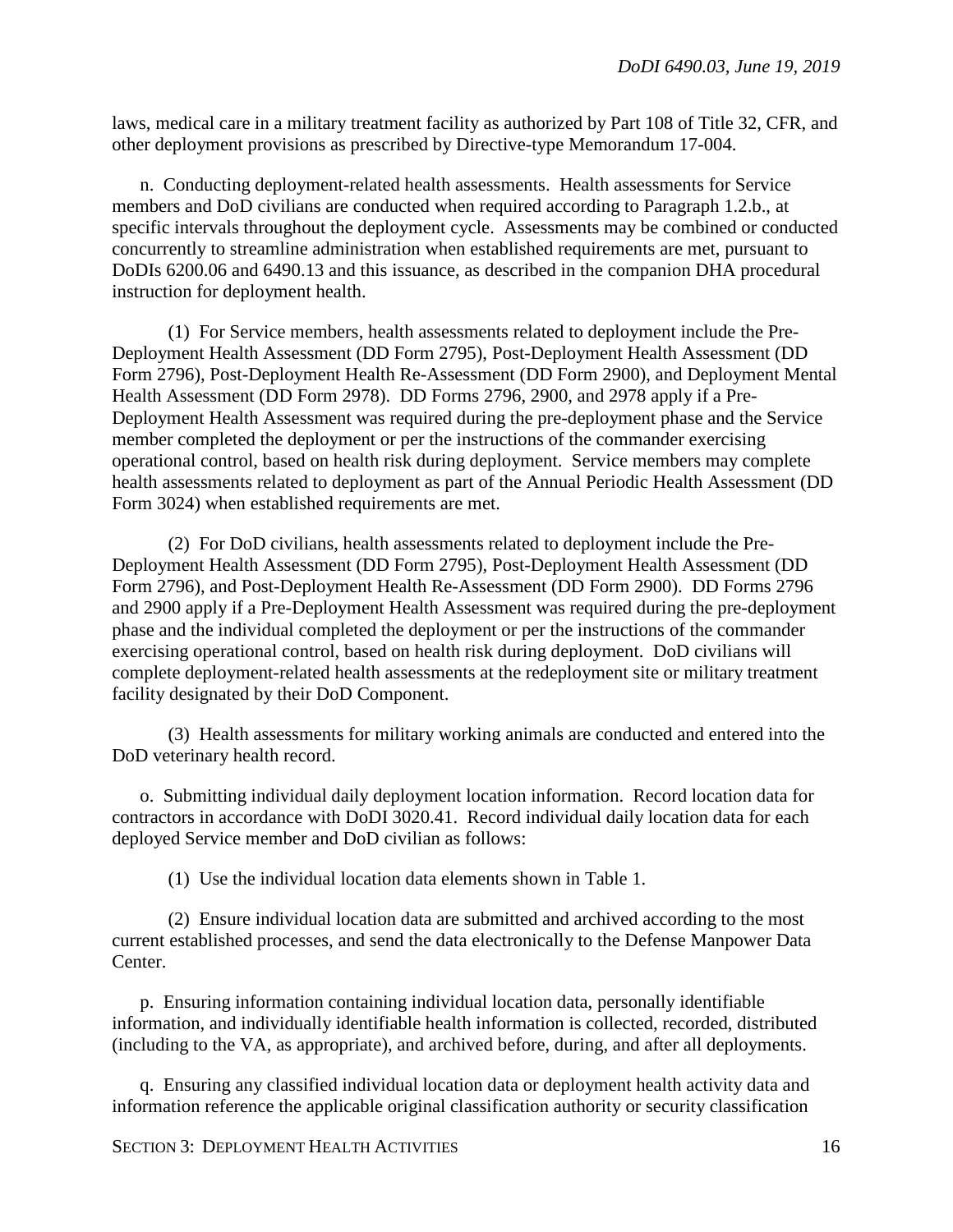laws, medical care in a military treatment facility as authorized by Part 108 of Title 32, CFR, and other deployment provisions as prescribed by Directive-type Memorandum 17-004.

n. Conducting deployment-related health assessments. Health assessments for Service members and DoD civilians are conducted when required according to Paragraph 1.2.b., at specific intervals throughout the deployment cycle. Assessments may be combined or conducted concurrently to streamline administration when established requirements are met, pursuant to DoDIs 6200.06 and 6490.13 and this issuance, as described in the companion DHA procedural instruction for deployment health.

(1) For Service members, health assessments related to deployment include the Pre-Deployment Health Assessment (DD Form 2795), Post-Deployment Health Assessment (DD Form 2796), Post-Deployment Health Re-Assessment (DD Form 2900), and Deployment Mental Health Assessment (DD Form 2978). DD Forms 2796, 2900, and 2978 apply if a Pre-Deployment Health Assessment was required during the pre-deployment phase and the Service member completed the deployment or per the instructions of the commander exercising operational control, based on health risk during deployment. Service members may complete health assessments related to deployment as part of the Annual Periodic Health Assessment (DD Form 3024) when established requirements are met.

(2) For DoD civilians, health assessments related to deployment include the Pre-Deployment Health Assessment (DD Form 2795), Post-Deployment Health Assessment (DD Form 2796), and Post-Deployment Health Re-Assessment (DD Form 2900). DD Forms 2796 and 2900 apply if a Pre-Deployment Health Assessment was required during the pre-deployment phase and the individual completed the deployment or per the instructions of the commander exercising operational control, based on health risk during deployment. DoD civilians will complete deployment-related health assessments at the redeployment site or military treatment facility designated by their DoD Component.

(3) Health assessments for military working animals are conducted and entered into the DoD veterinary health record.

o. Submitting individual daily deployment location information. Record location data for contractors in accordance with DoDI 3020.41. Record individual daily location data for each deployed Service member and DoD civilian as follows:

(1) Use the individual location data elements shown in Table 1.

(2) Ensure individual location data are submitted and archived according to the most current established processes, and send the data electronically to the Defense Manpower Data Center.

p. Ensuring information containing individual location data, personally identifiable information, and individually identifiable health information is collected, recorded, distributed (including to the VA, as appropriate), and archived before, during, and after all deployments.

q. Ensuring any classified individual location data or deployment health activity data and information reference the applicable original classification authority or security classification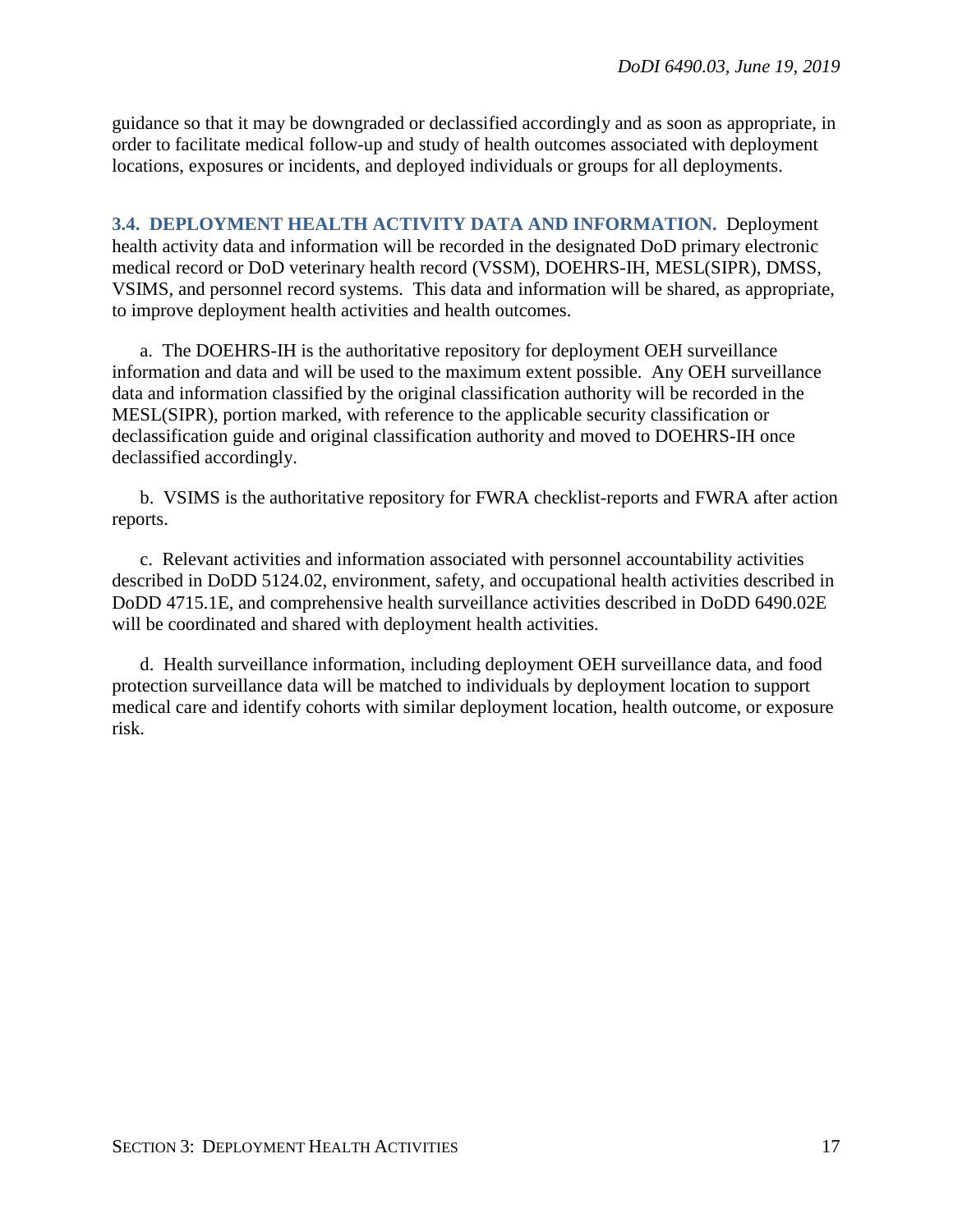guidance so that it may be downgraded or declassified accordingly and as soon as appropriate, in order to facilitate medical follow-up and study of health outcomes associated with deployment locations, exposures or incidents, and deployed individuals or groups for all deployments.

<span id="page-16-0"></span>**3.4. DEPLOYMENT HEALTH ACTIVITY DATA AND INFORMATION.** Deployment health activity data and information will be recorded in the designated DoD primary electronic medical record or DoD veterinary health record (VSSM), DOEHRS-IH, MESL(SIPR), DMSS, VSIMS, and personnel record systems. This data and information will be shared, as appropriate, to improve deployment health activities and health outcomes.

a. The DOEHRS-IH is the authoritative repository for deployment OEH surveillance information and data and will be used to the maximum extent possible. Any OEH surveillance data and information classified by the original classification authority will be recorded in the MESL(SIPR), portion marked, with reference to the applicable security classification or declassification guide and original classification authority and moved to DOEHRS-IH once declassified accordingly.

b. VSIMS is the authoritative repository for FWRA checklist-reports and FWRA after action reports.

c. Relevant activities and information associated with personnel accountability activities described in DoDD 5124.02, environment, safety, and occupational health activities described in DoDD 4715.1E, and comprehensive health surveillance activities described in DoDD 6490.02E will be coordinated and shared with deployment health activities.

d. Health surveillance information, including deployment OEH surveillance data, and food protection surveillance data will be matched to individuals by deployment location to support medical care and identify cohorts with similar deployment location, health outcome, or exposure risk.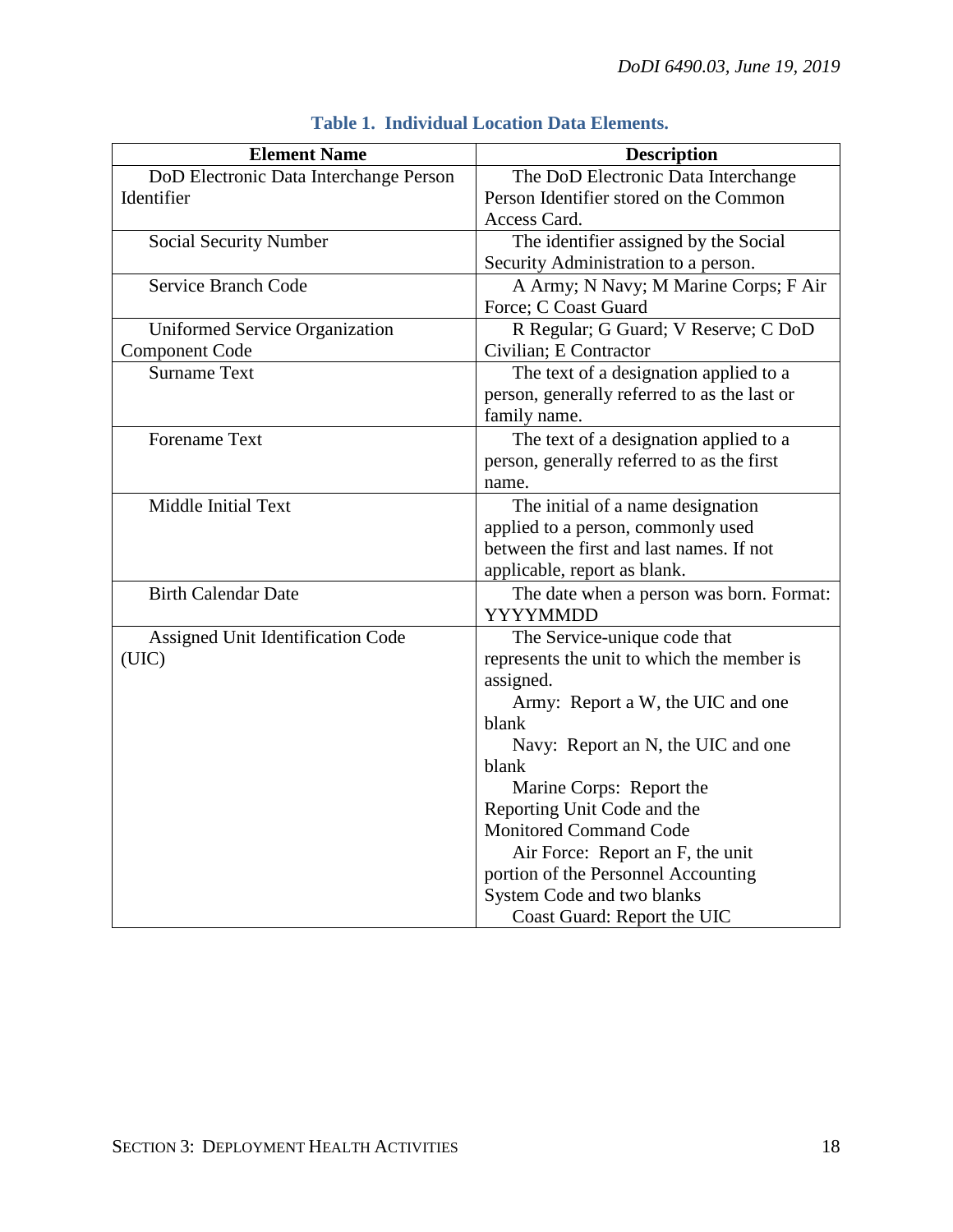| <b>Element Name</b>                    | <b>Description</b>                           |
|----------------------------------------|----------------------------------------------|
| DoD Electronic Data Interchange Person | The DoD Electronic Data Interchange          |
| Identifier                             | Person Identifier stored on the Common       |
|                                        | Access Card.                                 |
| <b>Social Security Number</b>          | The identifier assigned by the Social        |
|                                        | Security Administration to a person.         |
| <b>Service Branch Code</b>             | A Army; N Navy; M Marine Corps; F Air        |
|                                        | Force; C Coast Guard                         |
| Uniformed Service Organization         | R Regular; G Guard; V Reserve; C DoD         |
| <b>Component Code</b>                  | Civilian; E Contractor                       |
| <b>Surname Text</b>                    | The text of a designation applied to a       |
|                                        | person, generally referred to as the last or |
|                                        | family name.                                 |
| <b>Forename Text</b>                   | The text of a designation applied to a       |
|                                        | person, generally referred to as the first   |
|                                        | name.                                        |
| Middle Initial Text                    | The initial of a name designation            |
|                                        | applied to a person, commonly used           |
|                                        | between the first and last names. If not     |
|                                        | applicable, report as blank.                 |
| <b>Birth Calendar Date</b>             | The date when a person was born. Format:     |
|                                        | <b>YYYYMMDD</b>                              |
| Assigned Unit Identification Code      | The Service-unique code that                 |
| (UIC)                                  | represents the unit to which the member is   |
|                                        | assigned.                                    |
|                                        | Army: Report a W, the UIC and one            |
|                                        | blank                                        |
|                                        | Navy: Report an N, the UIC and one           |
|                                        | blank                                        |
|                                        | Marine Corps: Report the                     |
|                                        | Reporting Unit Code and the                  |
|                                        | <b>Monitored Command Code</b>                |
|                                        | Air Force: Report an F, the unit             |
|                                        | portion of the Personnel Accounting          |
|                                        | System Code and two blanks                   |
|                                        | Coast Guard: Report the UIC                  |

## **Table 1. Individual Location Data Elements.**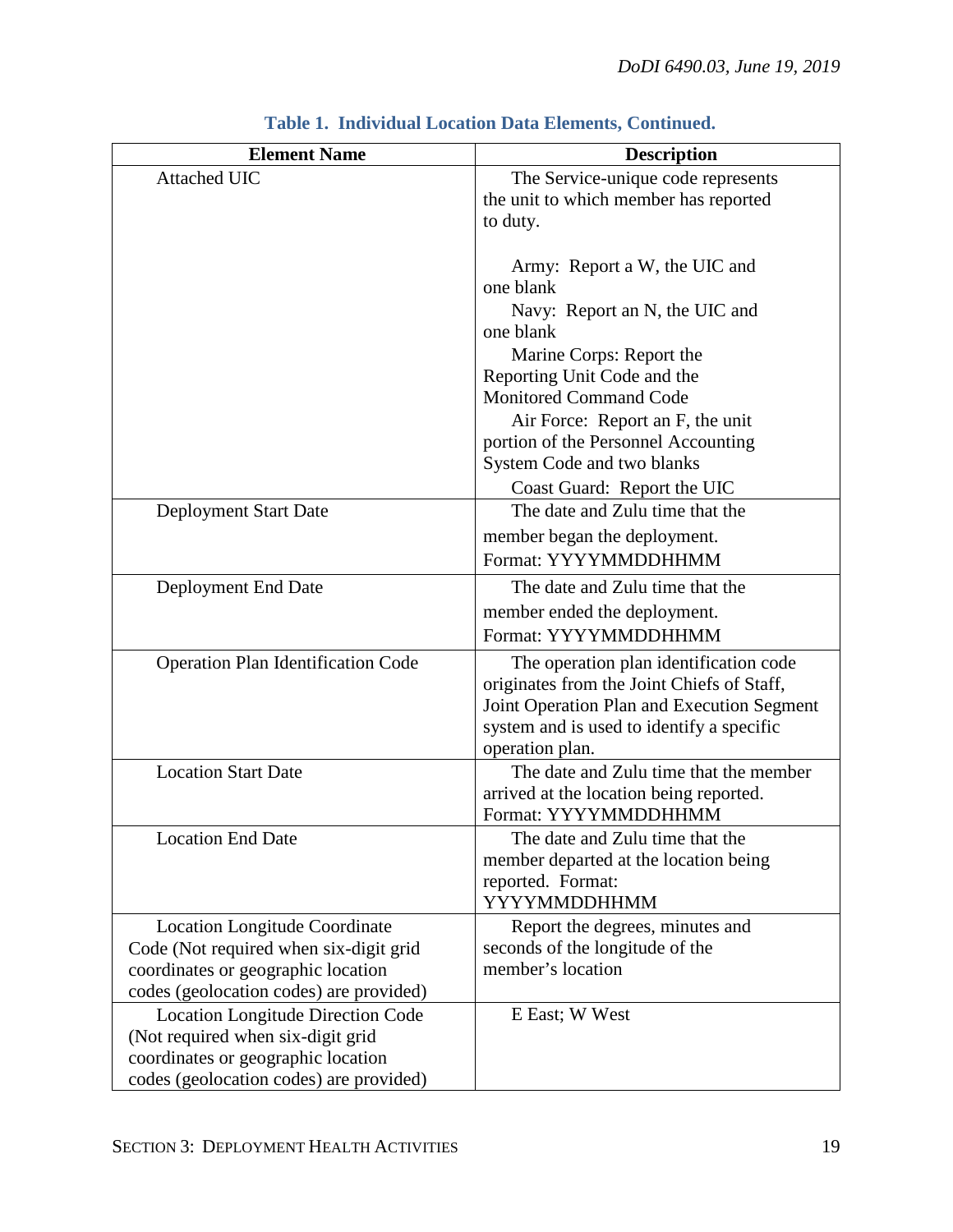| <b>Element Name</b>                                                                                                                                                                                                                                                                                                                                                                                                                                          | <b>Description</b>                                                                                                                                                                                                                                                                                                                                                                                                                                                                                                                                                                                                                                                                                                                                                                                                                                                                                       |
|--------------------------------------------------------------------------------------------------------------------------------------------------------------------------------------------------------------------------------------------------------------------------------------------------------------------------------------------------------------------------------------------------------------------------------------------------------------|----------------------------------------------------------------------------------------------------------------------------------------------------------------------------------------------------------------------------------------------------------------------------------------------------------------------------------------------------------------------------------------------------------------------------------------------------------------------------------------------------------------------------------------------------------------------------------------------------------------------------------------------------------------------------------------------------------------------------------------------------------------------------------------------------------------------------------------------------------------------------------------------------------|
| Attached UIC                                                                                                                                                                                                                                                                                                                                                                                                                                                 | The Service-unique code represents                                                                                                                                                                                                                                                                                                                                                                                                                                                                                                                                                                                                                                                                                                                                                                                                                                                                       |
|                                                                                                                                                                                                                                                                                                                                                                                                                                                              | the unit to which member has reported                                                                                                                                                                                                                                                                                                                                                                                                                                                                                                                                                                                                                                                                                                                                                                                                                                                                    |
|                                                                                                                                                                                                                                                                                                                                                                                                                                                              | to duty.                                                                                                                                                                                                                                                                                                                                                                                                                                                                                                                                                                                                                                                                                                                                                                                                                                                                                                 |
|                                                                                                                                                                                                                                                                                                                                                                                                                                                              |                                                                                                                                                                                                                                                                                                                                                                                                                                                                                                                                                                                                                                                                                                                                                                                                                                                                                                          |
|                                                                                                                                                                                                                                                                                                                                                                                                                                                              |                                                                                                                                                                                                                                                                                                                                                                                                                                                                                                                                                                                                                                                                                                                                                                                                                                                                                                          |
|                                                                                                                                                                                                                                                                                                                                                                                                                                                              |                                                                                                                                                                                                                                                                                                                                                                                                                                                                                                                                                                                                                                                                                                                                                                                                                                                                                                          |
|                                                                                                                                                                                                                                                                                                                                                                                                                                                              |                                                                                                                                                                                                                                                                                                                                                                                                                                                                                                                                                                                                                                                                                                                                                                                                                                                                                                          |
|                                                                                                                                                                                                                                                                                                                                                                                                                                                              |                                                                                                                                                                                                                                                                                                                                                                                                                                                                                                                                                                                                                                                                                                                                                                                                                                                                                                          |
|                                                                                                                                                                                                                                                                                                                                                                                                                                                              |                                                                                                                                                                                                                                                                                                                                                                                                                                                                                                                                                                                                                                                                                                                                                                                                                                                                                                          |
|                                                                                                                                                                                                                                                                                                                                                                                                                                                              |                                                                                                                                                                                                                                                                                                                                                                                                                                                                                                                                                                                                                                                                                                                                                                                                                                                                                                          |
|                                                                                                                                                                                                                                                                                                                                                                                                                                                              |                                                                                                                                                                                                                                                                                                                                                                                                                                                                                                                                                                                                                                                                                                                                                                                                                                                                                                          |
|                                                                                                                                                                                                                                                                                                                                                                                                                                                              |                                                                                                                                                                                                                                                                                                                                                                                                                                                                                                                                                                                                                                                                                                                                                                                                                                                                                                          |
|                                                                                                                                                                                                                                                                                                                                                                                                                                                              |                                                                                                                                                                                                                                                                                                                                                                                                                                                                                                                                                                                                                                                                                                                                                                                                                                                                                                          |
|                                                                                                                                                                                                                                                                                                                                                                                                                                                              |                                                                                                                                                                                                                                                                                                                                                                                                                                                                                                                                                                                                                                                                                                                                                                                                                                                                                                          |
|                                                                                                                                                                                                                                                                                                                                                                                                                                                              | The date and Zulu time that the                                                                                                                                                                                                                                                                                                                                                                                                                                                                                                                                                                                                                                                                                                                                                                                                                                                                          |
|                                                                                                                                                                                                                                                                                                                                                                                                                                                              |                                                                                                                                                                                                                                                                                                                                                                                                                                                                                                                                                                                                                                                                                                                                                                                                                                                                                                          |
|                                                                                                                                                                                                                                                                                                                                                                                                                                                              |                                                                                                                                                                                                                                                                                                                                                                                                                                                                                                                                                                                                                                                                                                                                                                                                                                                                                                          |
|                                                                                                                                                                                                                                                                                                                                                                                                                                                              |                                                                                                                                                                                                                                                                                                                                                                                                                                                                                                                                                                                                                                                                                                                                                                                                                                                                                                          |
|                                                                                                                                                                                                                                                                                                                                                                                                                                                              |                                                                                                                                                                                                                                                                                                                                                                                                                                                                                                                                                                                                                                                                                                                                                                                                                                                                                                          |
|                                                                                                                                                                                                                                                                                                                                                                                                                                                              |                                                                                                                                                                                                                                                                                                                                                                                                                                                                                                                                                                                                                                                                                                                                                                                                                                                                                                          |
|                                                                                                                                                                                                                                                                                                                                                                                                                                                              |                                                                                                                                                                                                                                                                                                                                                                                                                                                                                                                                                                                                                                                                                                                                                                                                                                                                                                          |
|                                                                                                                                                                                                                                                                                                                                                                                                                                                              |                                                                                                                                                                                                                                                                                                                                                                                                                                                                                                                                                                                                                                                                                                                                                                                                                                                                                                          |
|                                                                                                                                                                                                                                                                                                                                                                                                                                                              |                                                                                                                                                                                                                                                                                                                                                                                                                                                                                                                                                                                                                                                                                                                                                                                                                                                                                                          |
|                                                                                                                                                                                                                                                                                                                                                                                                                                                              |                                                                                                                                                                                                                                                                                                                                                                                                                                                                                                                                                                                                                                                                                                                                                                                                                                                                                                          |
|                                                                                                                                                                                                                                                                                                                                                                                                                                                              |                                                                                                                                                                                                                                                                                                                                                                                                                                                                                                                                                                                                                                                                                                                                                                                                                                                                                                          |
|                                                                                                                                                                                                                                                                                                                                                                                                                                                              |                                                                                                                                                                                                                                                                                                                                                                                                                                                                                                                                                                                                                                                                                                                                                                                                                                                                                                          |
|                                                                                                                                                                                                                                                                                                                                                                                                                                                              |                                                                                                                                                                                                                                                                                                                                                                                                                                                                                                                                                                                                                                                                                                                                                                                                                                                                                                          |
|                                                                                                                                                                                                                                                                                                                                                                                                                                                              | Format: YYYYMMDDHHMM                                                                                                                                                                                                                                                                                                                                                                                                                                                                                                                                                                                                                                                                                                                                                                                                                                                                                     |
| <b>Location End Date</b>                                                                                                                                                                                                                                                                                                                                                                                                                                     | The date and Zulu time that the                                                                                                                                                                                                                                                                                                                                                                                                                                                                                                                                                                                                                                                                                                                                                                                                                                                                          |
|                                                                                                                                                                                                                                                                                                                                                                                                                                                              | member departed at the location being                                                                                                                                                                                                                                                                                                                                                                                                                                                                                                                                                                                                                                                                                                                                                                                                                                                                    |
|                                                                                                                                                                                                                                                                                                                                                                                                                                                              | reported. Format:                                                                                                                                                                                                                                                                                                                                                                                                                                                                                                                                                                                                                                                                                                                                                                                                                                                                                        |
|                                                                                                                                                                                                                                                                                                                                                                                                                                                              |                                                                                                                                                                                                                                                                                                                                                                                                                                                                                                                                                                                                                                                                                                                                                                                                                                                                                                          |
|                                                                                                                                                                                                                                                                                                                                                                                                                                                              |                                                                                                                                                                                                                                                                                                                                                                                                                                                                                                                                                                                                                                                                                                                                                                                                                                                                                                          |
|                                                                                                                                                                                                                                                                                                                                                                                                                                                              |                                                                                                                                                                                                                                                                                                                                                                                                                                                                                                                                                                                                                                                                                                                                                                                                                                                                                                          |
|                                                                                                                                                                                                                                                                                                                                                                                                                                                              |                                                                                                                                                                                                                                                                                                                                                                                                                                                                                                                                                                                                                                                                                                                                                                                                                                                                                                          |
|                                                                                                                                                                                                                                                                                                                                                                                                                                                              |                                                                                                                                                                                                                                                                                                                                                                                                                                                                                                                                                                                                                                                                                                                                                                                                                                                                                                          |
|                                                                                                                                                                                                                                                                                                                                                                                                                                                              |                                                                                                                                                                                                                                                                                                                                                                                                                                                                                                                                                                                                                                                                                                                                                                                                                                                                                                          |
|                                                                                                                                                                                                                                                                                                                                                                                                                                                              |                                                                                                                                                                                                                                                                                                                                                                                                                                                                                                                                                                                                                                                                                                                                                                                                                                                                                                          |
|                                                                                                                                                                                                                                                                                                                                                                                                                                                              |                                                                                                                                                                                                                                                                                                                                                                                                                                                                                                                                                                                                                                                                                                                                                                                                                                                                                                          |
| Deployment Start Date<br>Deployment End Date<br><b>Operation Plan Identification Code</b><br><b>Location Start Date</b><br><b>Location Longitude Coordinate</b><br>Code (Not required when six-digit grid<br>coordinates or geographic location<br>codes (geolocation codes) are provided)<br><b>Location Longitude Direction Code</b><br>(Not required when six-digit grid<br>coordinates or geographic location<br>codes (geolocation codes) are provided) | Army: Report a W, the UIC and<br>one blank<br>Navy: Report an N, the UIC and<br>one blank<br>Marine Corps: Report the<br>Reporting Unit Code and the<br><b>Monitored Command Code</b><br>Air Force: Report an F, the unit<br>portion of the Personnel Accounting<br>System Code and two blanks<br>Coast Guard: Report the UIC<br>member began the deployment.<br>Format: YYYYMMDDHHMM<br>The date and Zulu time that the<br>member ended the deployment.<br>Format: YYYYMMDDHHMM<br>The operation plan identification code<br>originates from the Joint Chiefs of Staff,<br>Joint Operation Plan and Execution Segment<br>system and is used to identify a specific<br>operation plan.<br>The date and Zulu time that the member<br>arrived at the location being reported.<br>YYYYMMDDHHMM<br>Report the degrees, minutes and<br>seconds of the longitude of the<br>member's location<br>E East; W West |

### **Table 1. Individual Location Data Elements, Continued.**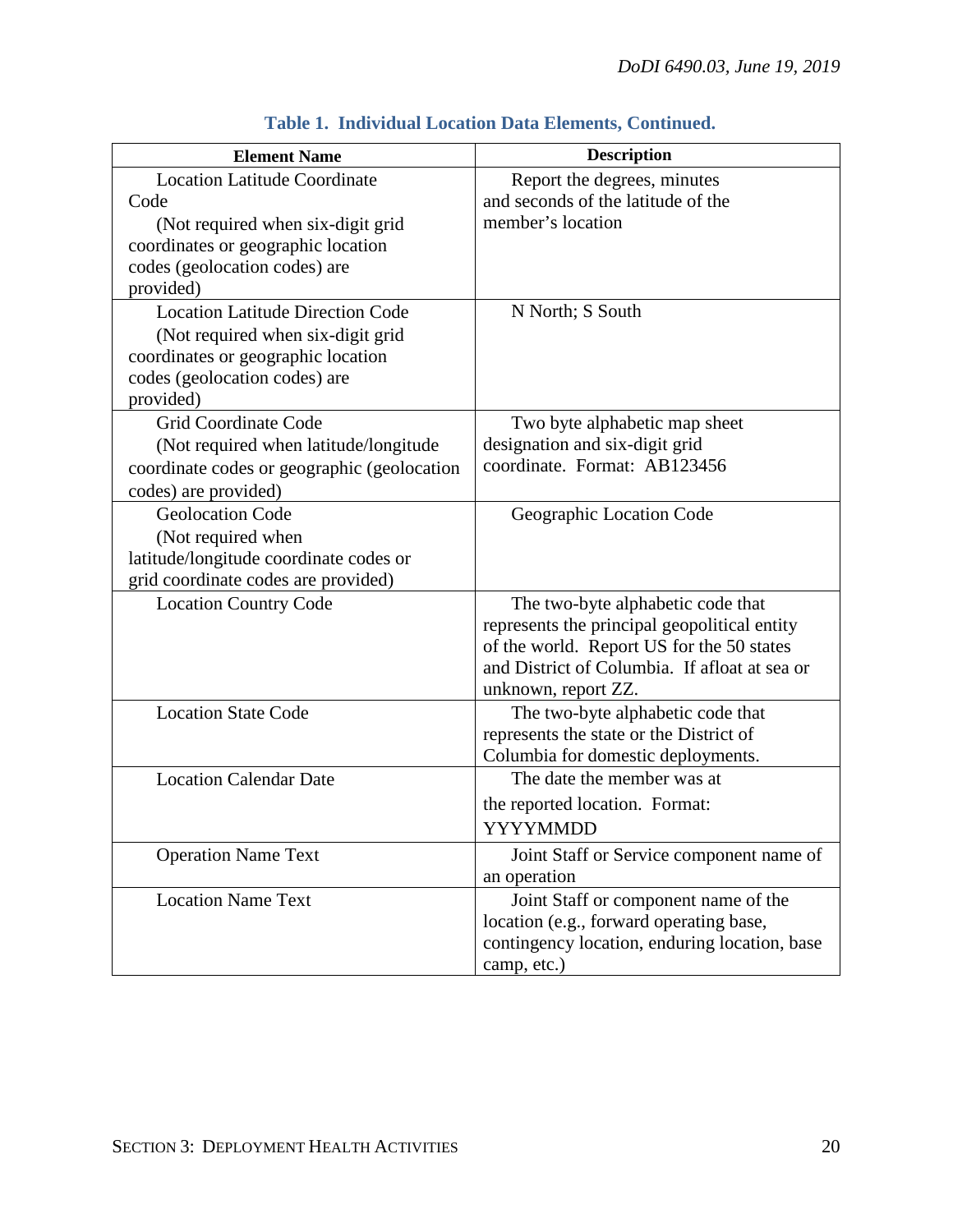| <b>Element Name</b>                         | <b>Description</b>                            |
|---------------------------------------------|-----------------------------------------------|
| <b>Location Latitude Coordinate</b>         | Report the degrees, minutes                   |
| Code                                        | and seconds of the latitude of the            |
| (Not required when six-digit grid           | member's location                             |
| coordinates or geographic location          |                                               |
| codes (geolocation codes) are               |                                               |
| provided)                                   |                                               |
| <b>Location Latitude Direction Code</b>     | N North; S South                              |
| (Not required when six-digit grid           |                                               |
| coordinates or geographic location          |                                               |
| codes (geolocation codes) are               |                                               |
| provided)                                   |                                               |
| <b>Grid Coordinate Code</b>                 | Two byte alphabetic map sheet                 |
| (Not required when latitude/longitude)      | designation and six-digit grid                |
| coordinate codes or geographic (geolocation | coordinate. Format: AB123456                  |
| codes) are provided)                        |                                               |
| <b>Geolocation Code</b>                     | Geographic Location Code                      |
| (Not required when                          |                                               |
| latitude/longitude coordinate codes or      |                                               |
| grid coordinate codes are provided)         |                                               |
| <b>Location Country Code</b>                | The two-byte alphabetic code that             |
|                                             | represents the principal geopolitical entity  |
|                                             | of the world. Report US for the 50 states     |
|                                             | and District of Columbia. If afloat at sea or |
|                                             | unknown, report ZZ.                           |
| <b>Location State Code</b>                  | The two-byte alphabetic code that             |
|                                             | represents the state or the District of       |
|                                             | Columbia for domestic deployments.            |
| <b>Location Calendar Date</b>               | The date the member was at                    |
|                                             | the reported location. Format:                |
|                                             | <b>YYYYMMDD</b>                               |
| <b>Operation Name Text</b>                  | Joint Staff or Service component name of      |
|                                             | an operation                                  |
| <b>Location Name Text</b>                   | Joint Staff or component name of the          |
|                                             | location (e.g., forward operating base,       |
|                                             | contingency location, enduring location, base |
|                                             | camp, etc.)                                   |

### **Table 1. Individual Location Data Elements, Continued.**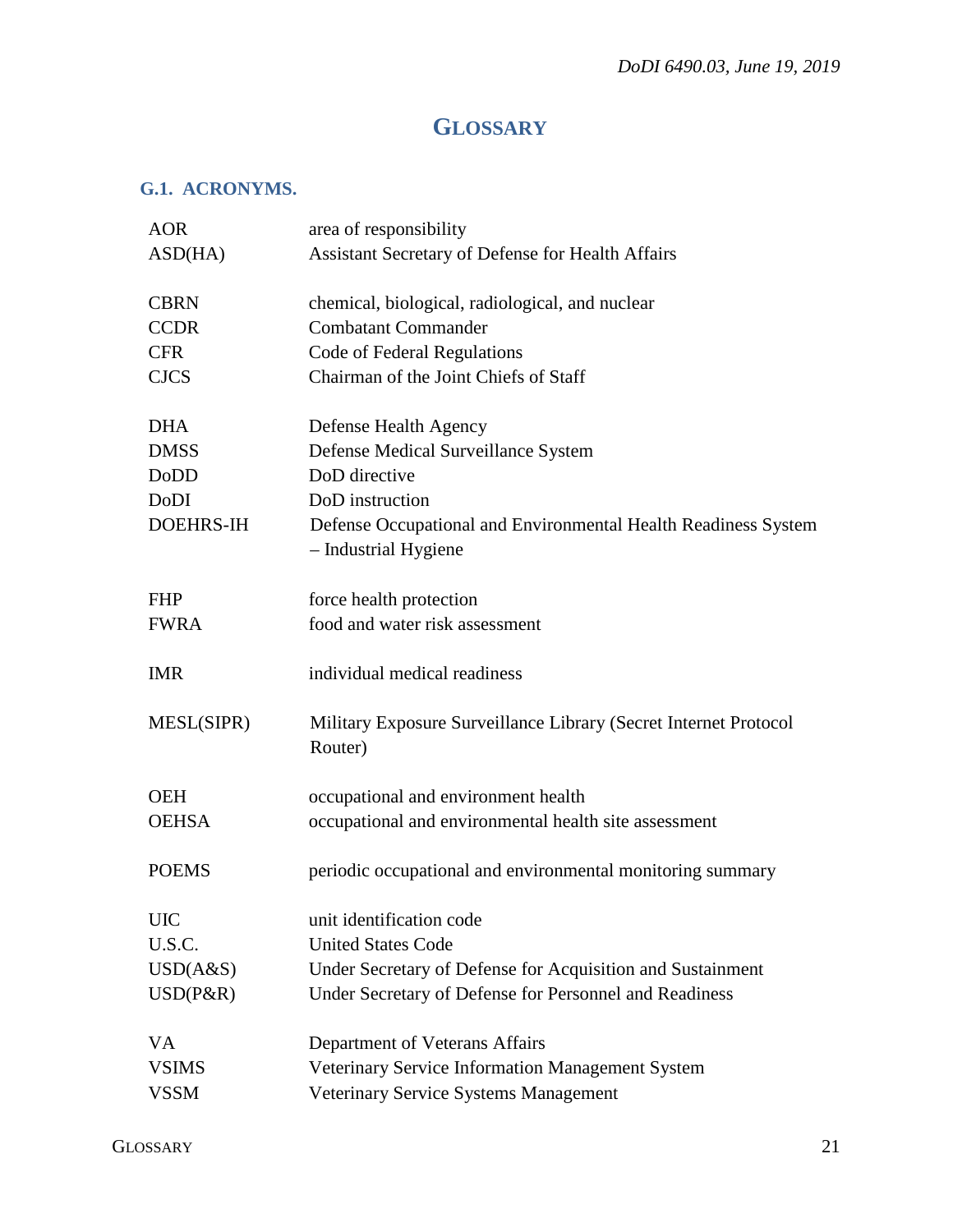# **GLOSSARY**

#### <span id="page-20-1"></span><span id="page-20-0"></span>**G.1. ACRONYMS.**

| <b>AOR</b>       | area of responsibility                                                        |
|------------------|-------------------------------------------------------------------------------|
| ASD(HA)          | <b>Assistant Secretary of Defense for Health Affairs</b>                      |
|                  |                                                                               |
| <b>CBRN</b>      | chemical, biological, radiological, and nuclear<br><b>Combatant Commander</b> |
| <b>CCDR</b>      |                                                                               |
| <b>CFR</b>       | Code of Federal Regulations                                                   |
| <b>CJCS</b>      | Chairman of the Joint Chiefs of Staff                                         |
| <b>DHA</b>       | Defense Health Agency                                                         |
| <b>DMSS</b>      | Defense Medical Surveillance System                                           |
| DoDD             | DoD directive                                                                 |
| <b>DoDI</b>      | DoD instruction                                                               |
| <b>DOEHRS-IH</b> | Defense Occupational and Environmental Health Readiness System                |
|                  | - Industrial Hygiene                                                          |
|                  |                                                                               |
| <b>FHP</b>       | force health protection<br>food and water risk assessment                     |
| <b>FWRA</b>      |                                                                               |
| <b>IMR</b>       | individual medical readiness                                                  |
| MESL(SIPR)       | Military Exposure Surveillance Library (Secret Internet Protocol              |
|                  | Router)                                                                       |
| <b>OEH</b>       | occupational and environment health                                           |
| <b>OEHSA</b>     | occupational and environmental health site assessment                         |
|                  |                                                                               |
| <b>POEMS</b>     | periodic occupational and environmental monitoring summary                    |
| <b>UIC</b>       | unit identification code                                                      |
| U.S.C.           | <b>United States Code</b>                                                     |
| USD(A&S)         | Under Secretary of Defense for Acquisition and Sustainment                    |
| $USD(P\&R)$      | Under Secretary of Defense for Personnel and Readiness                        |
|                  |                                                                               |
| VA               | Department of Veterans Affairs                                                |
| <b>VSIMS</b>     | Veterinary Service Information Management System                              |
| <b>VSSM</b>      | Veterinary Service Systems Management                                         |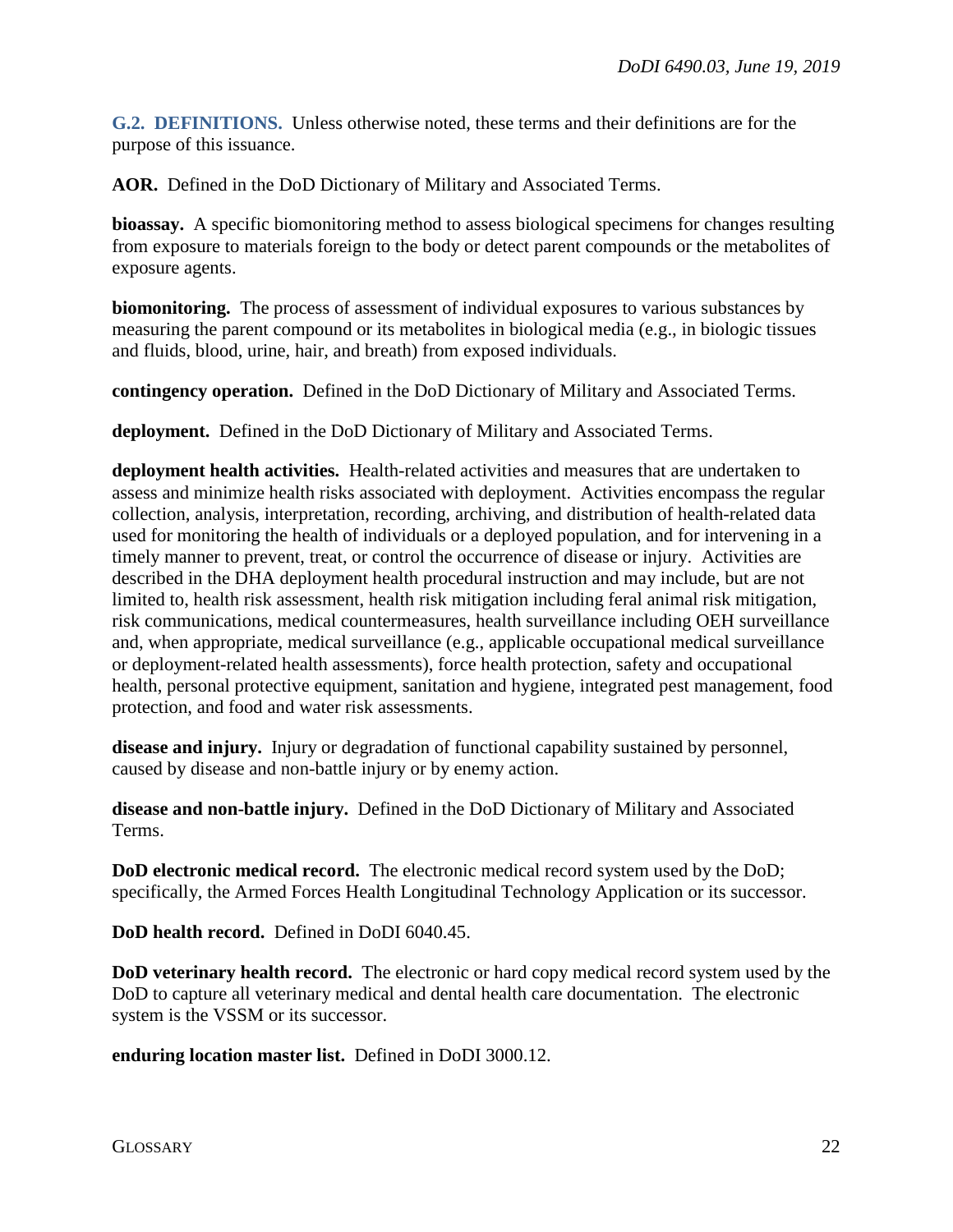<span id="page-21-0"></span>**G.2. DEFINITIONS.** Unless otherwise noted, these terms and their definitions are for the purpose of this issuance.

**AOR.** Defined in the DoD Dictionary of Military and Associated Terms.

**bioassay.** A specific biomonitoring method to assess biological specimens for changes resulting from exposure to materials foreign to the body or detect parent compounds or the metabolites of exposure agents.

**biomonitoring.** The process of assessment of individual exposures to various substances by measuring the parent compound or its metabolites in biological media (e.g., in biologic tissues and fluids, blood, urine, hair, and breath) from exposed individuals.

**contingency operation.** Defined in the DoD Dictionary of Military and Associated Terms.

**deployment.** Defined in the DoD Dictionary of Military and Associated Terms.

**deployment health activities.** Health-related activities and measures that are undertaken to assess and minimize health risks associated with deployment. Activities encompass the regular collection, analysis, interpretation, recording, archiving, and distribution of health-related data used for monitoring the health of individuals or a deployed population, and for intervening in a timely manner to prevent, treat, or control the occurrence of disease or injury. Activities are described in the DHA deployment health procedural instruction and may include, but are not limited to, health risk assessment, health risk mitigation including feral animal risk mitigation, risk communications, medical countermeasures, health surveillance including OEH surveillance and, when appropriate, medical surveillance (e.g., applicable occupational medical surveillance or deployment-related health assessments), force health protection, safety and occupational health, personal protective equipment, sanitation and hygiene, integrated pest management, food protection, and food and water risk assessments.

**disease and injury.** Injury or degradation of functional capability sustained by personnel, caused by disease and non-battle injury or by enemy action.

**disease and non-battle injury.** Defined in the DoD Dictionary of Military and Associated Terms.

**DoD electronic medical record.** The electronic medical record system used by the DoD; specifically, the Armed Forces Health Longitudinal Technology Application or its successor.

**DoD health record.** Defined in DoDI 6040.45.

**DoD veterinary health record.** The electronic or hard copy medical record system used by the DoD to capture all veterinary medical and dental health care documentation. The electronic system is the VSSM or its successor.

**enduring location master list.** Defined in DoDI 3000.12.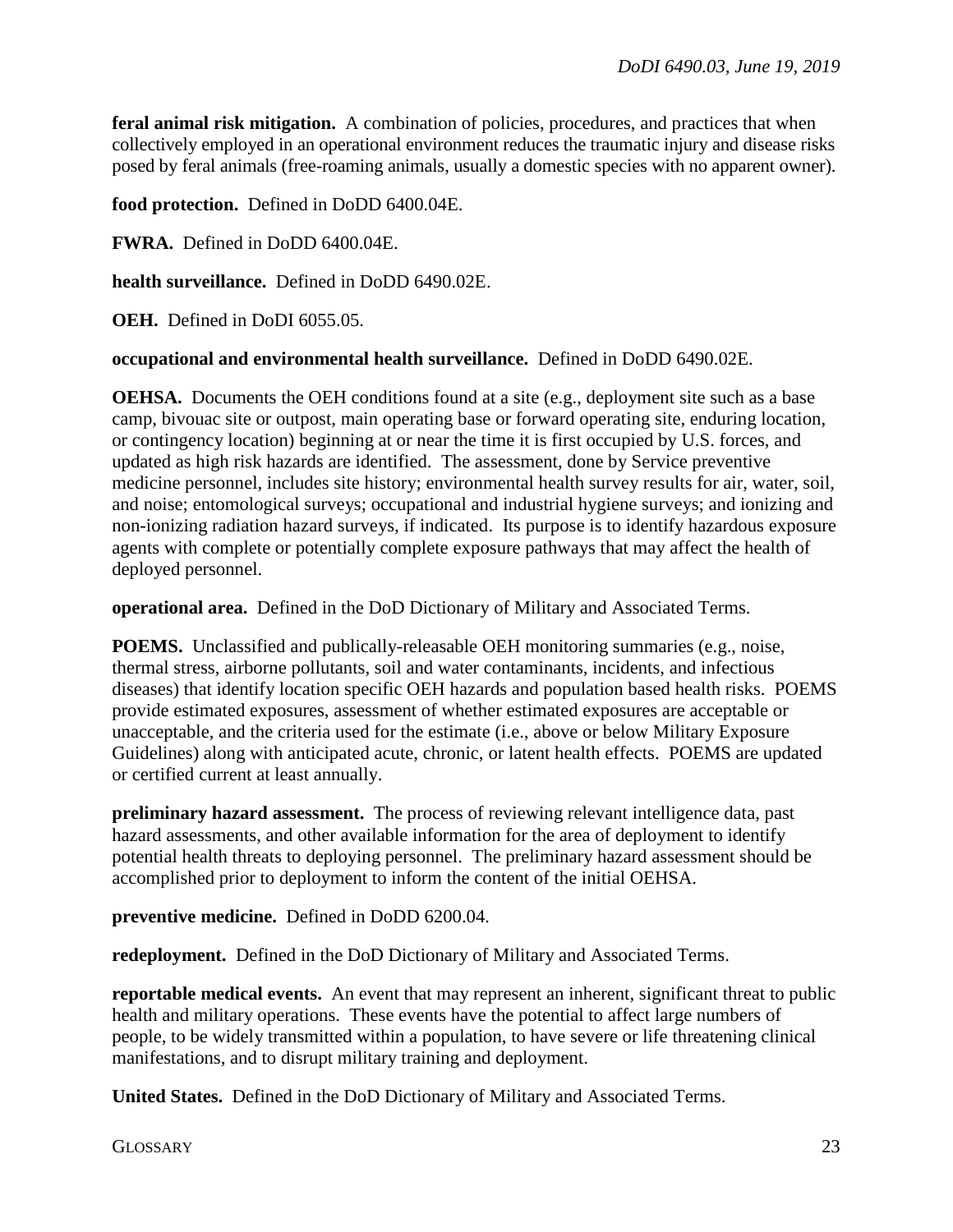**feral animal risk mitigation.** A combination of policies, procedures, and practices that when collectively employed in an operational environment reduces the traumatic injury and disease risks posed by feral animals (free-roaming animals, usually a domestic species with no apparent owner).

**food protection.** Defined in DoDD 6400.04E.

**FWRA.** Defined in DoDD 6400.04E.

**health surveillance.** Defined in DoDD 6490.02E.

**OEH.** Defined in DoDI 6055.05.

**occupational and environmental health surveillance.** Defined in DoDD 6490.02E.

**OEHSA.** Documents the OEH conditions found at a site (e.g., deployment site such as a base camp, bivouac site or outpost, main operating base or forward operating site, enduring location, or contingency location) beginning at or near the time it is first occupied by U.S. forces, and updated as high risk hazards are identified. The assessment, done by Service preventive medicine personnel, includes site history; environmental health survey results for air, water, soil, and noise; entomological surveys; occupational and industrial hygiene surveys; and ionizing and non-ionizing radiation hazard surveys, if indicated. Its purpose is to identify hazardous exposure agents with complete or potentially complete exposure pathways that may affect the health of deployed personnel.

**operational area.** Defined in the DoD Dictionary of Military and Associated Terms.

**POEMS.** Unclassified and publically-releasable OEH monitoring summaries (e.g., noise, thermal stress, airborne pollutants, soil and water contaminants, incidents, and infectious diseases) that identify location specific OEH hazards and population based health risks. POEMS provide estimated exposures, assessment of whether estimated exposures are acceptable or unacceptable, and the criteria used for the estimate (i.e., above or below Military Exposure Guidelines) along with anticipated acute, chronic, or latent health effects. POEMS are updated or certified current at least annually.

**preliminary hazard assessment.** The process of reviewing relevant intelligence data, past hazard assessments, and other available information for the area of deployment to identify potential health threats to deploying personnel. The preliminary hazard assessment should be accomplished prior to deployment to inform the content of the initial OEHSA.

**preventive medicine.** Defined in DoDD 6200.04.

**redeployment.** Defined in the DoD Dictionary of Military and Associated Terms.

**reportable medical events.** An event that may represent an inherent, significant threat to public health and military operations. These events have the potential to affect large numbers of people, to be widely transmitted within a population, to have severe or life threatening clinical manifestations, and to disrupt military training and deployment.

**United States.** Defined in the DoD Dictionary of Military and Associated Terms.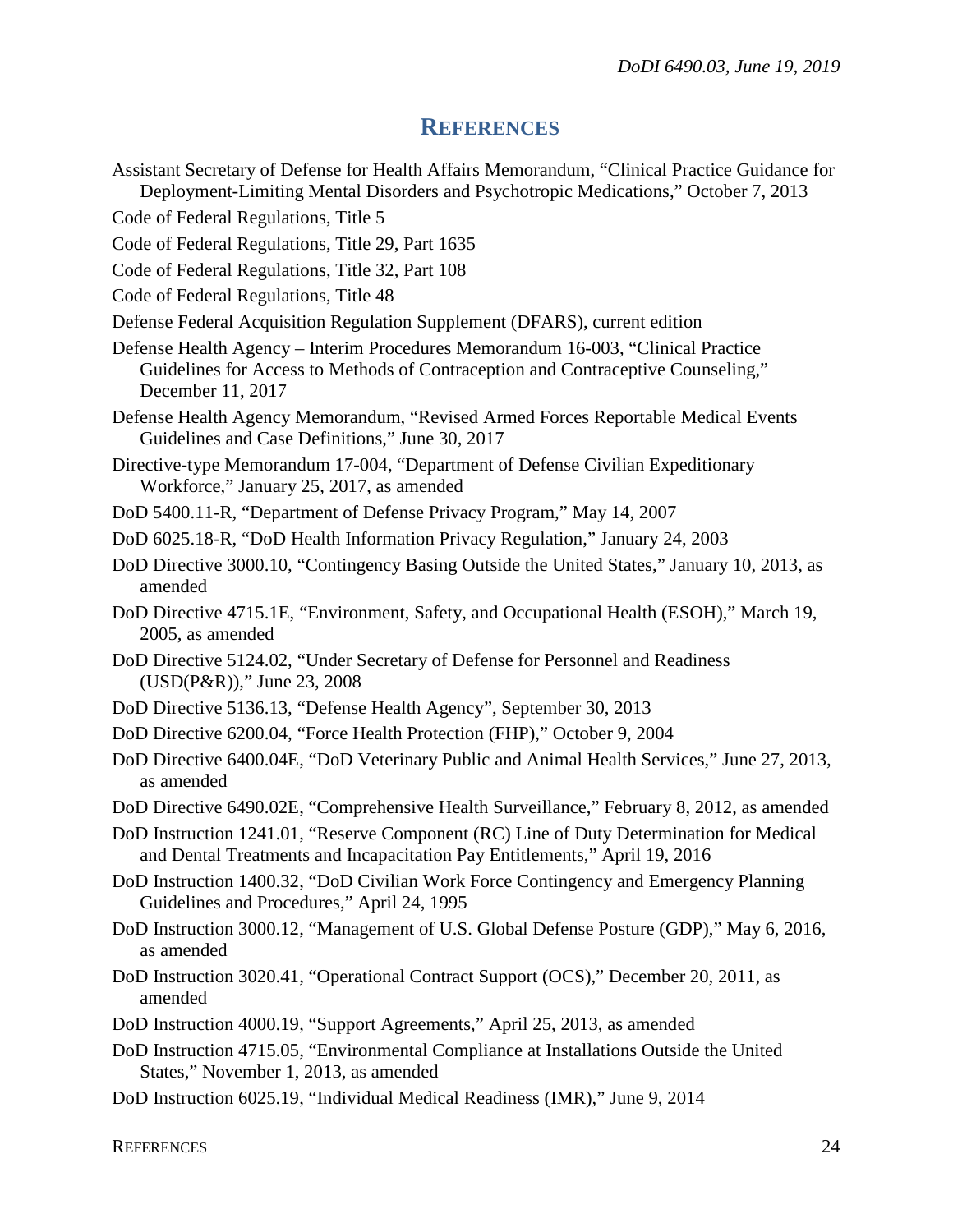#### **REFERENCES**

- <span id="page-23-0"></span>Assistant Secretary of Defense for Health Affairs Memorandum, "Clinical Practice Guidance for Deployment-Limiting Mental Disorders and Psychotropic Medications," October 7, 2013
- Code of Federal Regulations, Title 5
- Code of Federal Regulations, Title 29, Part 1635
- Code of Federal Regulations, Title 32, Part 108
- Code of Federal Regulations, Title 48
- Defense Federal Acquisition Regulation Supplement (DFARS), current edition
- Defense Health Agency Interim Procedures Memorandum 16-003, "Clinical Practice Guidelines for Access to Methods of Contraception and Contraceptive Counseling," December 11, 2017
- Defense Health Agency Memorandum, "Revised Armed Forces Reportable Medical Events Guidelines and Case Definitions," June 30, 2017
- Directive-type Memorandum 17-004, "Department of Defense Civilian Expeditionary Workforce," January 25, 2017, as amended
- DoD 5400.11-R, "Department of Defense Privacy Program," May 14, 2007
- DoD 6025.18-R, "DoD Health Information Privacy Regulation," January 24, 2003
- DoD Directive 3000.10, "Contingency Basing Outside the United States," January 10, 2013, as amended
- DoD Directive 4715.1E, "Environment, Safety, and Occupational Health (ESOH)," March 19, 2005, as amended
- DoD Directive 5124.02, "Under Secretary of Defense for Personnel and Readiness (USD(P&R))," June 23, 2008
- DoD Directive 5136.13, "Defense Health Agency", September 30, 2013
- DoD Directive 6200.04, "Force Health Protection (FHP)," October 9, 2004
- DoD Directive 6400.04E, "DoD Veterinary Public and Animal Health Services," June 27, 2013, as amended
- DoD Directive 6490.02E, "Comprehensive Health Surveillance," February 8, 2012, as amended
- DoD Instruction 1241.01, "Reserve Component (RC) Line of Duty Determination for Medical and Dental Treatments and Incapacitation Pay Entitlements," April 19, 2016
- DoD Instruction 1400.32, "DoD Civilian Work Force Contingency and Emergency Planning Guidelines and Procedures," April 24, 1995
- DoD Instruction 3000.12, "Management of U.S. Global Defense Posture (GDP)," May 6, 2016, as amended
- DoD Instruction 3020.41, "Operational Contract Support (OCS)," December 20, 2011, as amended
- DoD Instruction 4000.19, "Support Agreements," April 25, 2013, as amended
- DoD Instruction 4715.05, "Environmental Compliance at Installations Outside the United States," November 1, 2013, as amended
- DoD Instruction 6025.19, "Individual Medical Readiness (IMR)," June 9, 2014